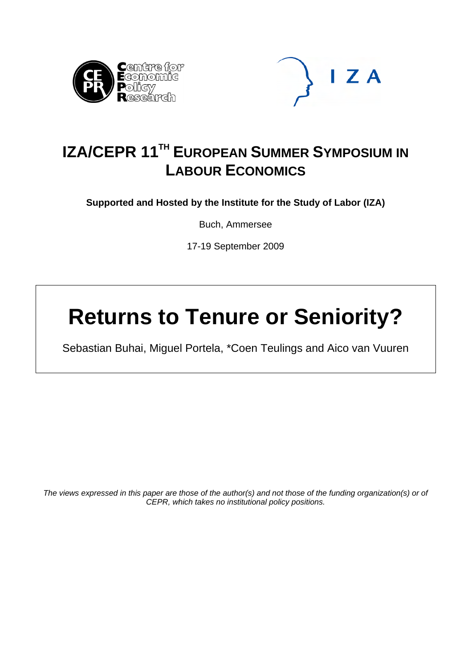



# **IZA/CEPR 11<sup>TH</sup> EUROPEAN SUMMER SYMPOSIUM IN LABOUR ECONOMICS**

**Supported and Hosted by the Institute for the Study of Labor (IZA)** 

Buch, Ammersee

17-19 September 2009

# **Returns to Tenure or Seniority?**

Sebastian Buhai, Miguel Portela, \*Coen Teulings and Aico van Vuuren

*The views expressed in this paper are those of the author(s) and not those of the funding organization(s) or of CEPR, which takes no institutional policy positions.*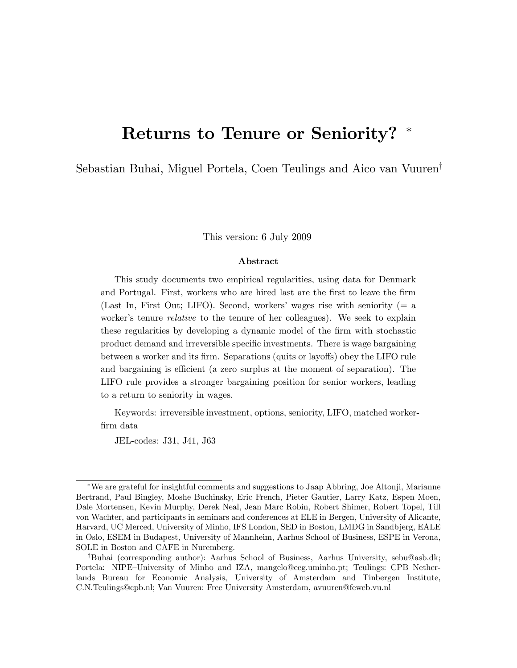# Returns to Tenure or Seniority? \*

Sebastian Buhai, Miguel Portela, Coen Teulings and Aico van Vuuren<sup>†</sup>

This version: 6 July 2009

#### Abstract

This study documents two empirical regularities, using data for Denmark and Portugal. First, workers who are hired last are the Örst to leave the Örm (Last In, First Out; LIFO). Second, workers' wages rise with seniority  $(= a$ worker's tenure *relative* to the tenure of her colleagues). We seek to explain these regularities by developing a dynamic model of the firm with stochastic product demand and irreversible specific investments. There is wage bargaining between a worker and its firm. Separations (quits or layoffs) obey the LIFO rule and bargaining is efficient (a zero surplus at the moment of separation). The LIFO rule provides a stronger bargaining position for senior workers, leading to a return to seniority in wages.

Keywords: irreversible investment, options, seniority, LIFO, matched workerfirm data

JEL-codes: J31, J41, J63

We are grateful for insightful comments and suggestions to Jaap Abbring, Joe Altonji, Marianne Bertrand, Paul Bingley, Moshe Buchinsky, Eric French, Pieter Gautier, Larry Katz, Espen Moen, Dale Mortensen, Kevin Murphy, Derek Neal, Jean Marc Robin, Robert Shimer, Robert Topel, Till von Wachter, and participants in seminars and conferences at ELE in Bergen, University of Alicante, Harvard, UC Merced, University of Minho, IFS London, SED in Boston, LMDG in Sandbjerg, EALE in Oslo, ESEM in Budapest, University of Mannheim, Aarhus School of Business, ESPE in Verona, SOLE in Boston and CAFE in Nuremberg.

<sup>&</sup>lt;sup>†</sup>Buhai (corresponding author): Aarhus School of Business, Aarhus University, sebu@asb.dk; Portela: NIPE–University of Minho and IZA, mangelo@eeg.uminho.pt; Teulings: CPB Netherlands Bureau for Economic Analysis, University of Amsterdam and Tinbergen Institute, C.N.Teulings@cpb.nl; Van Vuuren: Free University Amsterdam, avuuren@feweb.vu.nl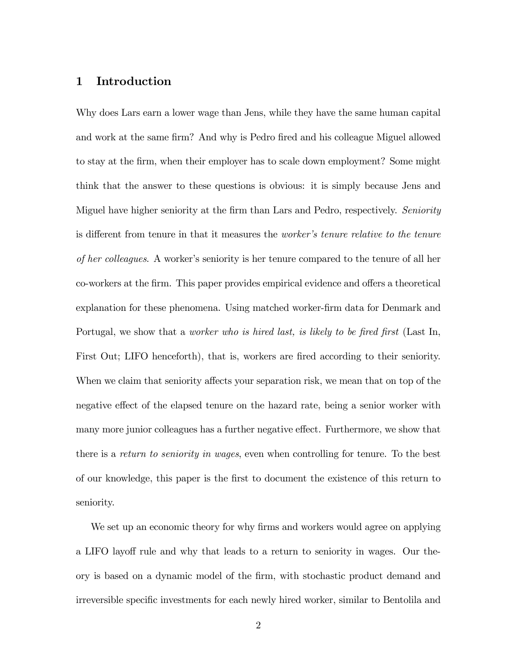## 1 Introduction

Why does Lars earn a lower wage than Jens, while they have the same human capital and work at the same firm? And why is Pedro fired and his colleague Miguel allowed to stay at the Örm, when their employer has to scale down employment? Some might think that the answer to these questions is obvious: it is simply because Jens and Miguel have higher seniority at the firm than Lars and Pedro, respectively. Seniority is different from tenure in that it measures the *worker's tenure relative to the tenure* of her colleagues. A workerís seniority is her tenure compared to the tenure of all her co-workers at the firm. This paper provides empirical evidence and offers a theoretical explanation for these phenomena. Using matched worker-Örm data for Denmark and Portugal, we show that a *worker who is hired last, is likely to be fired first* (Last In, First Out; LIFO henceforth), that is, workers are fired according to their seniority. When we claim that seniority affects your separation risk, we mean that on top of the negative effect of the elapsed tenure on the hazard rate, being a senior worker with many more junior colleagues has a further negative effect. Furthermore, we show that there is a return to seniority in wages, even when controlling for tenure. To the best of our knowledge, this paper is the Örst to document the existence of this return to seniority.

We set up an economic theory for why firms and workers would agree on applying a LIFO layoff rule and why that leads to a return to seniority in wages. Our theory is based on a dynamic model of the Örm, with stochastic product demand and irreversible specific investments for each newly hired worker, similar to Bentolila and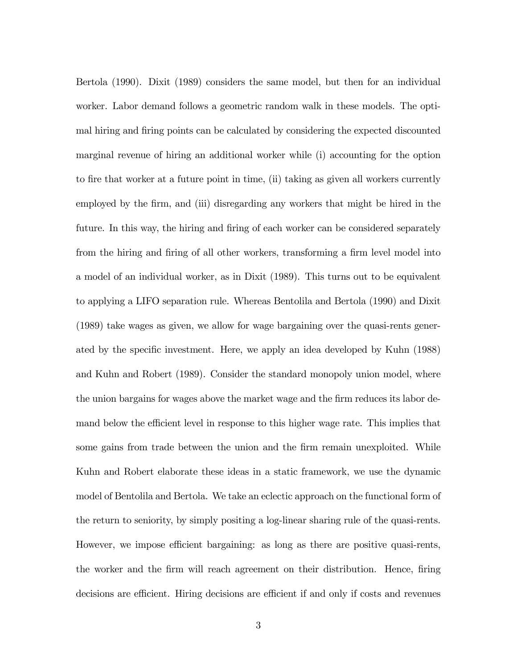Bertola (1990). Dixit (1989) considers the same model, but then for an individual worker. Labor demand follows a geometric random walk in these models. The optimal hiring and firing points can be calculated by considering the expected discounted marginal revenue of hiring an additional worker while (i) accounting for the option to fire that worker at a future point in time, (ii) taking as given all workers currently employed by the firm, and (iii) disregarding any workers that might be hired in the future. In this way, the hiring and firing of each worker can be considered separately from the hiring and firing of all other workers, transforming a firm level model into a model of an individual worker, as in Dixit (1989). This turns out to be equivalent to applying a LIFO separation rule. Whereas Bentolila and Bertola (1990) and Dixit (1989) take wages as given, we allow for wage bargaining over the quasi-rents generated by the specific investment. Here, we apply an idea developed by Kuhn (1988) and Kuhn and Robert (1989). Consider the standard monopoly union model, where the union bargains for wages above the market wage and the firm reduces its labor demand below the efficient level in response to this higher wage rate. This implies that some gains from trade between the union and the firm remain unexploited. While Kuhn and Robert elaborate these ideas in a static framework, we use the dynamic model of Bentolila and Bertola. We take an eclectic approach on the functional form of the return to seniority, by simply positing a log-linear sharing rule of the quasi-rents. However, we impose efficient bargaining: as long as there are positive quasi-rents, the worker and the firm will reach agreement on their distribution. Hence, firing decisions are efficient. Hiring decisions are efficient if and only if costs and revenues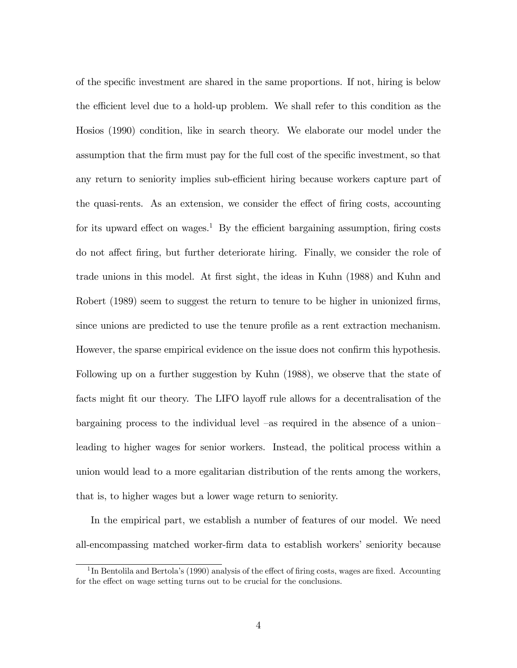of the speciÖc investment are shared in the same proportions. If not, hiring is below the efficient level due to a hold-up problem. We shall refer to this condition as the Hosios (1990) condition, like in search theory. We elaborate our model under the assumption that the firm must pay for the full cost of the specific investment, so that any return to seniority implies sub-efficient hiring because workers capture part of the quasi-rents. As an extension, we consider the effect of firing costs, accounting for its upward effect on wages.<sup>1</sup> By the efficient bargaining assumption, firing costs do not affect firing, but further deteriorate hiring. Finally, we consider the role of trade unions in this model. At first sight, the ideas in Kuhn (1988) and Kuhn and Robert (1989) seem to suggest the return to tenure to be higher in unionized firms, since unions are predicted to use the tenure profile as a rent extraction mechanism. However, the sparse empirical evidence on the issue does not confirm this hypothesis. Following up on a further suggestion by Kuhn (1988), we observe that the state of facts might fit our theory. The LIFO layoff rule allows for a decentralisation of the bargaining process to the individual level – as required in the absence of a union– leading to higher wages for senior workers. Instead, the political process within a union would lead to a more egalitarian distribution of the rents among the workers, that is, to higher wages but a lower wage return to seniority.

In the empirical part, we establish a number of features of our model. We need all-encompassing matched worker-firm data to establish workers' seniority because

<sup>&</sup>lt;sup>1</sup>In Bentolila and Bertola's (1990) analysis of the effect of firing costs, wages are fixed. Accounting for the effect on wage setting turns out to be crucial for the conclusions.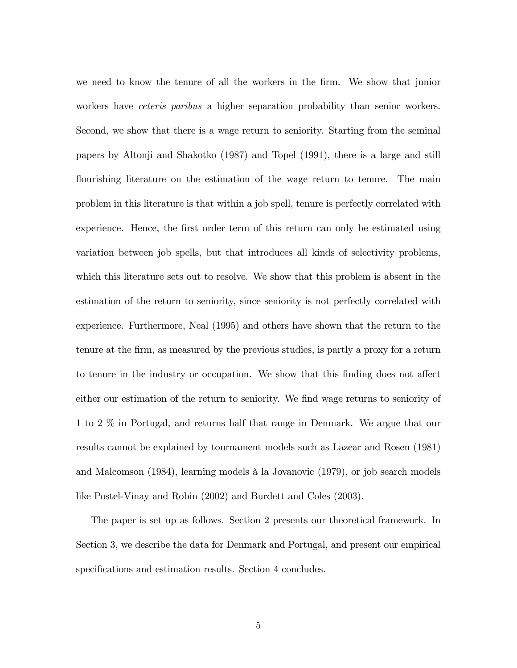we need to know the tenure of all the workers in the firm. We show that junior workers have *ceteris paribus* a higher separation probability than senior workers. Second, we show that there is a wage return to seniority. Starting from the seminal papers by Altonji and Shakotko (1987) and Topel (1991), there is a large and still flourishing literature on the estimation of the wage return to tenure. The main problem in this literature is that within a job spell, tenure is perfectly correlated with experience. Hence, the first order term of this return can only be estimated using variation between job spells, but that introduces all kinds of selectivity problems, which this literature sets out to resolve. We show that this problem is absent in the estimation of the return to seniority, since seniority is not perfectly correlated with experience. Furthermore, Neal (1995) and others have shown that the return to the tenure at the Örm, as measured by the previous studies, is partly a proxy for a return to tenure in the industry or occupation. We show that this finding does not affect either our estimation of the return to seniority. We find wage returns to seniority of 1 to 2 % in Portugal, and returns half that range in Denmark. We argue that our results cannot be explained by tournament models such as Lazear and Rosen (1981) and Malcomson (1984), learning models à la Jovanovic (1979), or job search models like Postel-Vinay and Robin (2002) and Burdett and Coles (2003).

The paper is set up as follows. Section 2 presents our theoretical framework. In Section 3, we describe the data for Denmark and Portugal, and present our empirical specifications and estimation results. Section 4 concludes.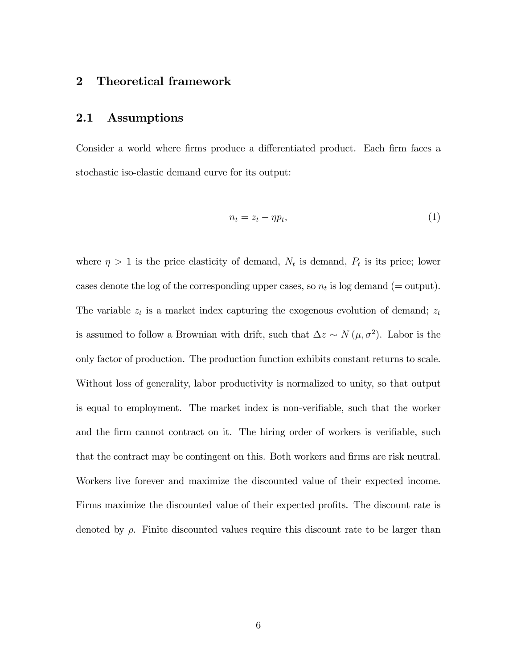# 2 Theoretical framework

#### 2.1 Assumptions

Consider a world where firms produce a differentiated product. Each firm faces a stochastic iso-elastic demand curve for its output:

$$
n_t = z_t - \eta p_t,\tag{1}
$$

where  $\eta > 1$  is the price elasticity of demand,  $N_t$  is demand,  $P_t$  is its price; lower cases denote the log of the corresponding upper cases, so  $n_t$  is log demand (= output). The variable  $z_t$  is a market index capturing the exogenous evolution of demand;  $z_t$ is assumed to follow a Brownian with drift, such that  $\Delta z \sim N(\mu, \sigma^2)$ . Labor is the only factor of production. The production function exhibits constant returns to scale. Without loss of generality, labor productivity is normalized to unity, so that output is equal to employment. The market index is non-verifiable, such that the worker and the firm cannot contract on it. The hiring order of workers is verifiable, such that the contract may be contingent on this. Both workers and firms are risk neutral. Workers live forever and maximize the discounted value of their expected income. Firms maximize the discounted value of their expected profits. The discount rate is denoted by  $\rho$ . Finite discounted values require this discount rate to be larger than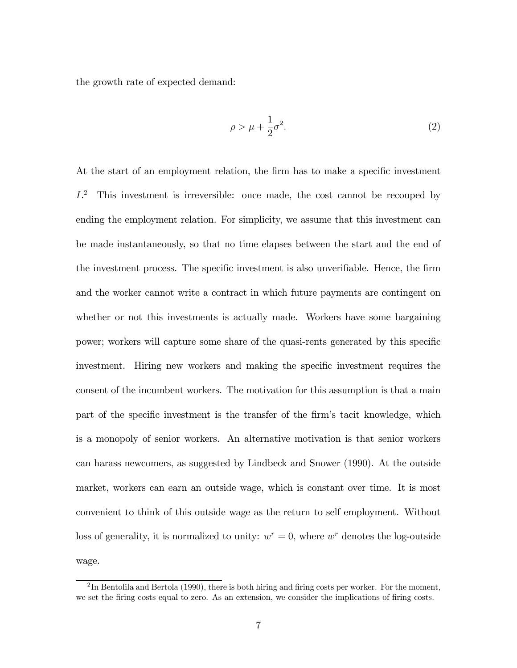the growth rate of expected demand:

$$
\rho > \mu + \frac{1}{2}\sigma^2. \tag{2}
$$

At the start of an employment relation, the firm has to make a specific investment I. <sup>2</sup> This investment is irreversible: once made, the cost cannot be recouped by ending the employment relation. For simplicity, we assume that this investment can be made instantaneously, so that no time elapses between the start and the end of the investment process. The specific investment is also unverifiable. Hence, the firm and the worker cannot write a contract in which future payments are contingent on whether or not this investments is actually made. Workers have some bargaining power; workers will capture some share of the quasi-rents generated by this specific investment. Hiring new workers and making the specific investment requires the consent of the incumbent workers. The motivation for this assumption is that a main part of the specific investment is the transfer of the firm's tacit knowledge, which is a monopoly of senior workers. An alternative motivation is that senior workers can harass newcomers, as suggested by Lindbeck and Snower (1990). At the outside market, workers can earn an outside wage, which is constant over time. It is most convenient to think of this outside wage as the return to self employment. Without loss of generality, it is normalized to unity:  $w^r = 0$ , where  $w^r$  denotes the log-outside wage.

<sup>&</sup>lt;sup>2</sup>In Bentolila and Bertola (1990), there is both hiring and firing costs per worker. For the moment, we set the firing costs equal to zero. As an extension, we consider the implications of firing costs.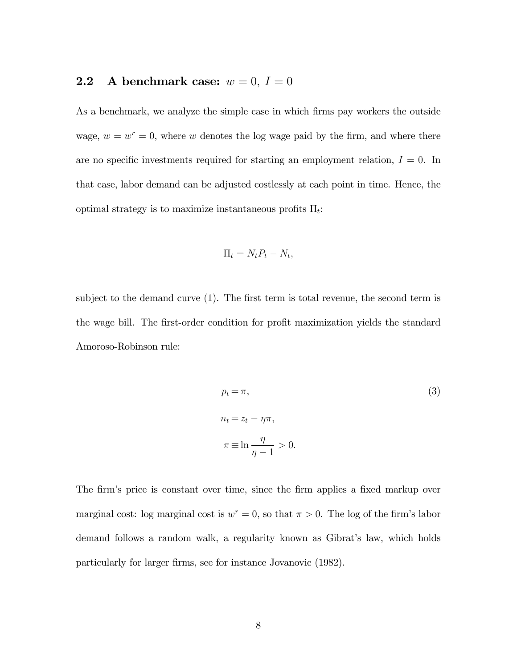# **2.2** A benchmark case:  $w = 0, I = 0$

As a benchmark, we analyze the simple case in which firms pay workers the outside wage,  $w = w^r = 0$ , where w denotes the log wage paid by the firm, and where there are no specific investments required for starting an employment relation,  $I = 0$ . In that case, labor demand can be adjusted costlessly at each point in time. Hence, the optimal strategy is to maximize instantaneous profits  $\Pi_t$ :

$$
\Pi_t = N_t P_t - N_t,
$$

subject to the demand curve  $(1)$ . The first term is total revenue, the second term is the wage bill. The first-order condition for profit maximization yields the standard Amoroso-Robinson rule:

$$
p_t = \pi,
$$
\n
$$
n_t = z_t - \eta \pi,
$$
\n
$$
\pi \equiv \ln \frac{\eta}{\eta - 1} > 0.
$$
\n(3)

The firm's price is constant over time, since the firm applies a fixed markup over marginal cost: log marginal cost is  $w^r = 0$ , so that  $\pi > 0$ . The log of the firm's labor demand follows a random walk, a regularity known as Gibrat's law, which holds particularly for larger firms, see for instance Jovanovic  $(1982)$ .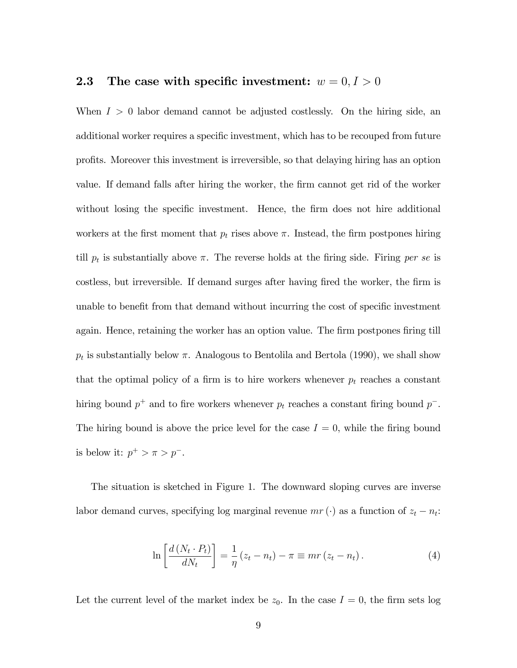# **2.3** The case with specific investment:  $w = 0, I > 0$

When  $I > 0$  labor demand cannot be adjusted costlessly. On the hiring side, an additional worker requires a specific investment, which has to be recouped from future proÖts. Moreover this investment is irreversible, so that delaying hiring has an option value. If demand falls after hiring the worker, the Örm cannot get rid of the worker without losing the specific investment. Hence, the firm does not hire additional workers at the first moment that  $p_t$  rises above  $\pi$ . Instead, the firm postpones hiring till  $p_t$  is substantially above  $\pi$ . The reverse holds at the firing side. Firing per se is costless, but irreversible. If demand surges after having fired the worker, the firm is unable to benefit from that demand without incurring the cost of specific investment again. Hence, retaining the worker has an option value. The firm postpones firing till  $p_t$  is substantially below  $\pi$ . Analogous to Bentolila and Bertola (1990), we shall show that the optimal policy of a firm is to hire workers whenever  $p_t$  reaches a constant hiring bound  $p^+$  and to fire workers whenever  $p_t$  reaches a constant firing bound  $p^-$ . The hiring bound is above the price level for the case  $I = 0$ , while the firing bound is below it:  $p^+ > \pi > p^-$ .

The situation is sketched in Figure 1. The downward sloping curves are inverse labor demand curves, specifying log marginal revenue  $mr(\cdot)$  as a function of  $z_t - n_t$ :

$$
\ln\left[\frac{d\left(N_t\cdot P_t\right)}{dN_t}\right] = \frac{1}{\eta}\left(z_t - n_t\right) - \pi \equiv mr\left(z_t - n_t\right). \tag{4}
$$

Let the current level of the market index be  $z_0$ . In the case  $I = 0$ , the firm sets log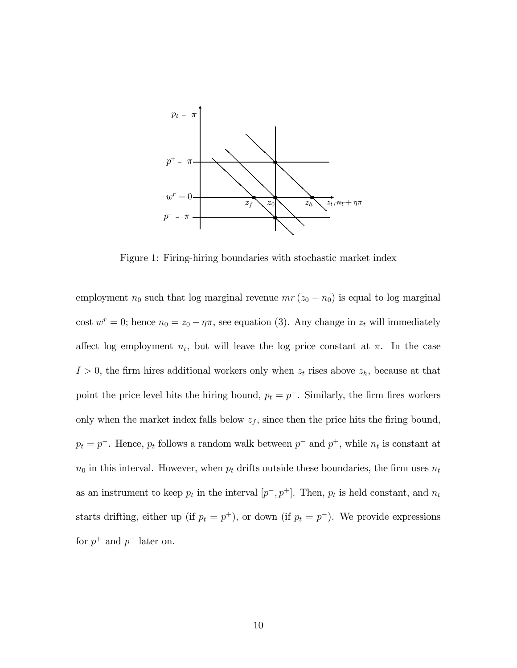

Figure 1: Firing-hiring boundaries with stochastic market index

employment  $n_0$  such that log marginal revenue  $mr(z_0 - n_0)$  is equal to log marginal cost  $w^r = 0$ ; hence  $n_0 = z_0 - \eta \pi$ , see equation (3). Any change in  $z_t$  will immediately affect log employment  $n_t$ , but will leave the log price constant at  $\pi$ . In the case  $I > 0$ , the firm hires additional workers only when  $z_t$  rises above  $z_h$ , because at that point the price level hits the hiring bound,  $p_t = p^+$ . Similarly, the firm fires workers only when the market index falls below  $z_f$ , since then the price hits the firing bound,  $p_t = p^-$ . Hence,  $p_t$  follows a random walk between  $p^-$  and  $p^+$ , while  $n_t$  is constant at  $n_0$  in this interval. However, when  $p_t$  drifts outside these boundaries, the firm uses  $n_t$ as an instrument to keep  $p_t$  in the interval  $[p^-, p^+]$ . Then,  $p_t$  is held constant, and  $n_t$ starts drifting, either up (if  $p_t = p^+$ ), or down (if  $p_t = p^-$ ). We provide expressions for  $p^+$  and  $p^-$  later on.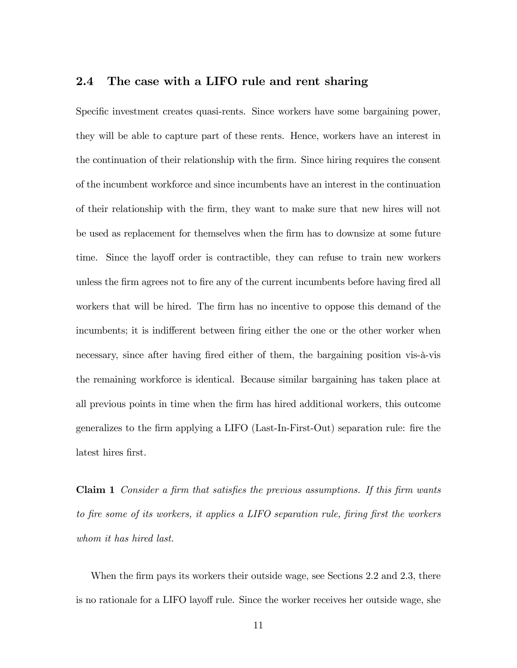### 2.4 The case with a LIFO rule and rent sharing

Specific investment creates quasi-rents. Since workers have some bargaining power, they will be able to capture part of these rents. Hence, workers have an interest in the continuation of their relationship with the firm. Since hiring requires the consent of the incumbent workforce and since incumbents have an interest in the continuation of their relationship with the Örm, they want to make sure that new hires will not be used as replacement for themselves when the Örm has to downsize at some future time. Since the layoff order is contractible, they can refuse to train new workers unless the firm agrees not to fire any of the current incumbents before having fired all workers that will be hired. The firm has no incentive to oppose this demand of the incumbents; it is indifferent between firing either the one or the other worker when necessary, since after having fired either of them, the bargaining position vis- $\ddot{a}$ -vis the remaining workforce is identical. Because similar bargaining has taken place at all previous points in time when the Örm has hired additional workers, this outcome generalizes to the Örm applying a LIFO (Last-In-First-Out) separation rule: Öre the latest hires first.

**Claim 1** Consider a firm that satisfies the previous assumptions. If this firm wants to fire some of its workers, it applies a LIFO separation rule, firing first the workers whom it has hired last.

When the firm pays its workers their outside wage, see Sections 2.2 and 2.3, there is no rationale for a LIFO layoff rule. Since the worker receives her outside wage, she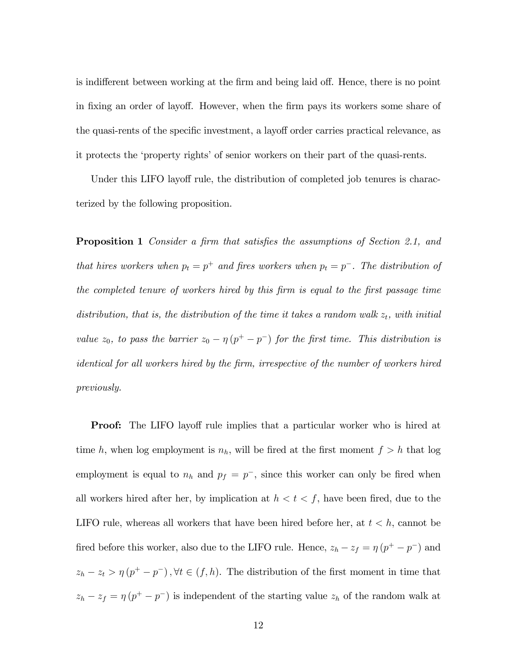is indifferent between working at the firm and being laid off. Hence, there is no point in fixing an order of layoff. However, when the firm pays its workers some share of the quasi-rents of the specific investment, a layoff order carries practical relevance, as it protects the 'property rights' of senior workers on their part of the quasi-rents.

Under this LIFO layoff rule, the distribution of completed job tenures is characterized by the following proposition.

**Proposition 1** Consider a firm that satisfies the assumptions of Section 2.1, and that hires workers when  $p_t = p^+$  and fires workers when  $p_t = p^-$ . The distribution of the completed tenure of workers hired by this firm is equal to the first passage time distribution, that is, the distribution of the time it takes a random walk  $z_t$ , with initial value  $z_0$ , to pass the barrier  $z_0 - \eta (p^+ - p^-)$  for the first time. This distribution is identical for all workers hired by the firm, irrespective of the number of workers hired previously.

**Proof:** The LIFO layoff rule implies that a particular worker who is hired at time h, when log employment is  $n_h$ , will be fired at the first moment  $f > h$  that log employment is equal to  $n_h$  and  $p_f = p^-$ , since this worker can only be fired when all workers hired after her, by implication at  $h < t < f$ , have been fired, due to the LIFO rule, whereas all workers that have been hired before her, at  $t < h$ , cannot be fired before this worker, also due to the LIFO rule. Hence,  $z_h - z_f = \eta (p^+ - p^-)$  and  $z_h - z_t > \eta (p^+ - p^-), \forall t \in (f, h).$  The distribution of the first moment in time that  $z_h - z_f = \eta (p^+ - p^-)$  is independent of the starting value  $z_h$  of the random walk at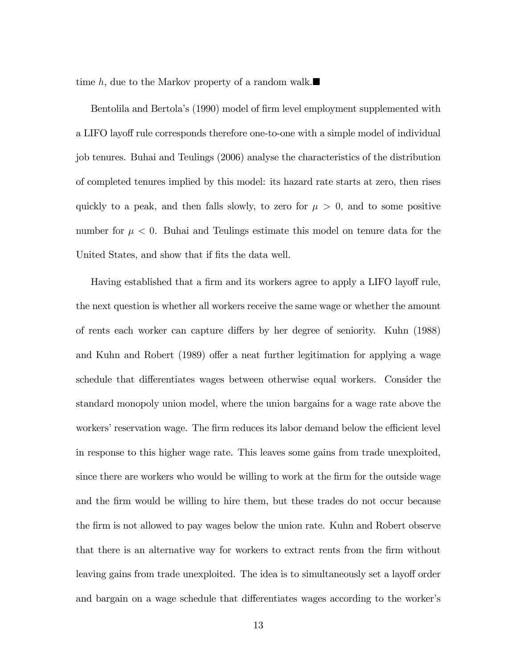time h, due to the Markov property of a random walk.

Bentolila and Bertola's (1990) model of firm level employment supplemented with a LIFO layoff rule corresponds therefore one-to-one with a simple model of individual job tenures. Buhai and Teulings (2006) analyse the characteristics of the distribution of completed tenures implied by this model: its hazard rate starts at zero, then rises quickly to a peak, and then falls slowly, to zero for  $\mu > 0$ , and to some positive number for  $\mu < 0$ . Buhai and Teulings estimate this model on tenure data for the United States, and show that if fits the data well.

Having established that a firm and its workers agree to apply a LIFO layoff rule, the next question is whether all workers receive the same wage or whether the amount of rents each worker can capture differs by her degree of seniority. Kuhn (1988) and Kuhn and Robert (1989) offer a neat further legitimation for applying a wage schedule that differentiates wages between otherwise equal workers. Consider the standard monopoly union model, where the union bargains for a wage rate above the workers' reservation wage. The firm reduces its labor demand below the efficient level in response to this higher wage rate. This leaves some gains from trade unexploited, since there are workers who would be willing to work at the firm for the outside wage and the Örm would be willing to hire them, but these trades do not occur because the firm is not allowed to pay wages below the union rate. Kuhn and Robert observe that there is an alternative way for workers to extract rents from the firm without leaving gains from trade unexploited. The idea is to simultaneously set a layoff order and bargain on a wage schedule that differentiates wages according to the worker's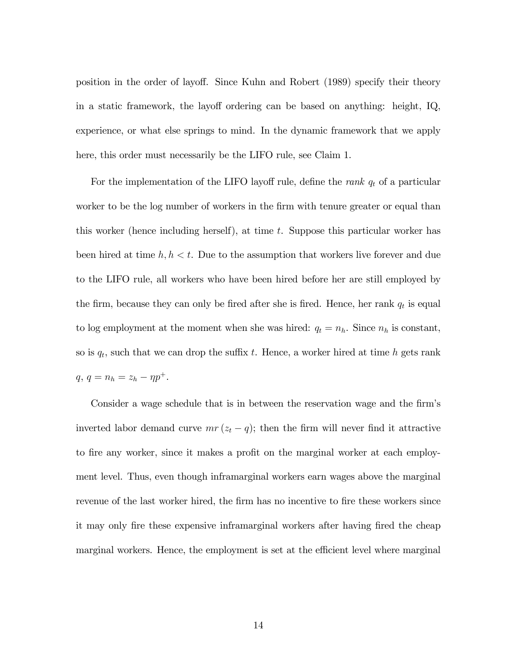position in the order of layo§. Since Kuhn and Robert (1989) specify their theory in a static framework, the layoff ordering can be based on anything: height, IQ, experience, or what else springs to mind. In the dynamic framework that we apply here, this order must necessarily be the LIFO rule, see Claim 1.

For the implementation of the LIFO layoff rule, define the *rank*  $q_t$  of a particular worker to be the log number of workers in the firm with tenure greater or equal than this worker (hence including herself), at time t. Suppose this particular worker has been hired at time  $h, h < t$ . Due to the assumption that workers live forever and due to the LIFO rule, all workers who have been hired before her are still employed by the firm, because they can only be fired after she is fired. Hence, her rank  $q_t$  is equal to log employment at the moment when she was hired:  $q_t = n_h$ . Since  $n_h$  is constant, so is  $q_t$ , such that we can drop the suffix t. Hence, a worker hired at time h gets rank  $q, q = n_h = z_h - \eta p^+.$ 

Consider a wage schedule that is in between the reservation wage and the firm's inverted labor demand curve  $mr(z_t - q)$ ; then the firm will never find it attractive to fire any worker, since it makes a profit on the marginal worker at each employment level. Thus, even though inframarginal workers earn wages above the marginal revenue of the last worker hired, the firm has no incentive to fire these workers since it may only fire these expensive inframarginal workers after having fired the cheap marginal workers. Hence, the employment is set at the efficient level where marginal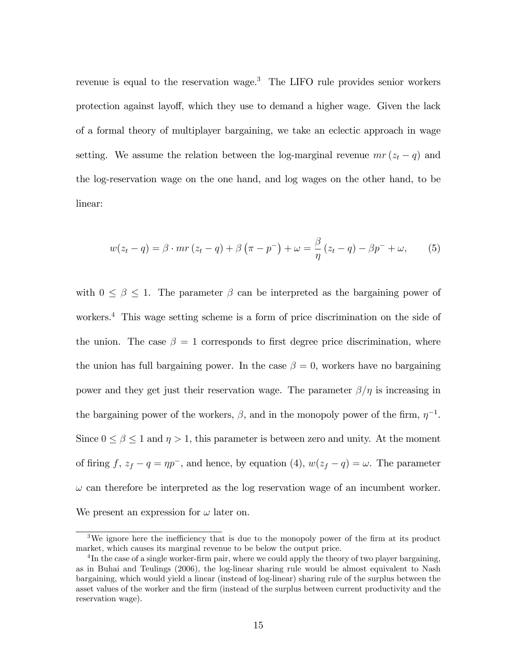revenue is equal to the reservation wage.<sup>3</sup> The LIFO rule provides senior workers protection against layoff, which they use to demand a higher wage. Given the lack of a formal theory of multiplayer bargaining, we take an eclectic approach in wage setting. We assume the relation between the log-marginal revenue  $mr(z_t - q)$  and the log-reservation wage on the one hand, and log wages on the other hand, to be linear:

$$
w(z_t - q) = \beta \cdot mr(z_t - q) + \beta \left(\pi - p^-\right) + \omega = \frac{\beta}{\eta} (z_t - q) - \beta p^- + \omega, \tag{5}
$$

with  $0 \leq \beta \leq 1$ . The parameter  $\beta$  can be interpreted as the bargaining power of workers.<sup>4</sup> This wage setting scheme is a form of price discrimination on the side of the union. The case  $\beta = 1$  corresponds to first degree price discrimination, where the union has full bargaining power. In the case  $\beta = 0$ , workers have no bargaining power and they get just their reservation wage. The parameter  $\beta/\eta$  is increasing in the bargaining power of the workers,  $\beta$ , and in the monopoly power of the firm,  $\eta^{-1}$ . Since  $0 \le \beta \le 1$  and  $\eta > 1$ , this parameter is between zero and unity. At the moment of firing f,  $z_f - q = \eta p^-$ , and hence, by equation (4),  $w(z_f - q) = \omega$ . The parameter  $\omega$  can therefore be interpreted as the log reservation wage of an incumbent worker. We present an expression for  $\omega$  later on.

<sup>&</sup>lt;sup>3</sup>We ignore here the inefficiency that is due to the monopoly power of the firm at its product market, which causes its marginal revenue to be below the output price.

 ${}^{4}$ In the case of a single worker-firm pair, where we could apply the theory of two player bargaining, as in Buhai and Teulings (2006), the log-linear sharing rule would be almost equivalent to Nash bargaining, which would yield a linear (instead of log-linear) sharing rule of the surplus between the asset values of the worker and the Örm (instead of the surplus between current productivity and the reservation wage).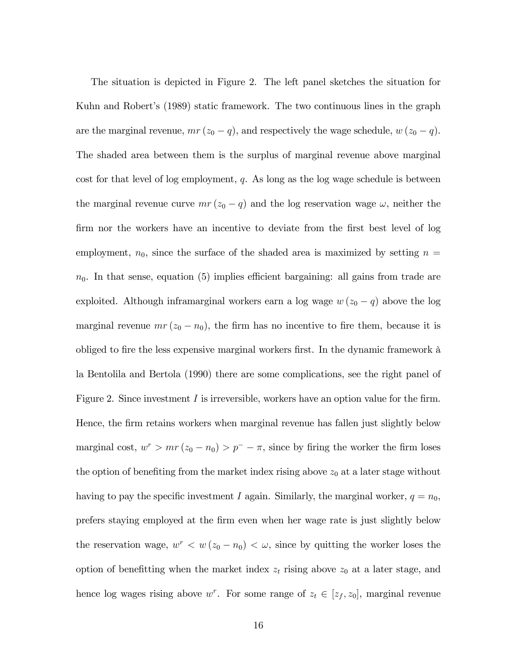The situation is depicted in Figure 2. The left panel sketches the situation for Kuhn and Robert's (1989) static framework. The two continuous lines in the graph are the marginal revenue,  $mr(z_0 - q)$ , and respectively the wage schedule,  $w(z_0 - q)$ . The shaded area between them is the surplus of marginal revenue above marginal cost for that level of log employment,  $q$ . As long as the log wage schedule is between the marginal revenue curve  $mr(z_0 - q)$  and the log reservation wage  $\omega$ , neither the firm nor the workers have an incentive to deviate from the first best level of log employment,  $n_0$ , since the surface of the shaded area is maximized by setting  $n =$  $n_0$ . In that sense, equation (5) implies efficient bargaining: all gains from trade are exploited. Although inframarginal workers earn a log wage  $w(z_0 - q)$  above the log marginal revenue  $mr(z_0 - n_0)$ , the firm has no incentive to fire them, because it is obliged to fire the less expensive marginal workers first. In the dynamic framework à la Bentolila and Bertola (1990) there are some complications, see the right panel of Figure 2. Since investment  $I$  is irreversible, workers have an option value for the firm. Hence, the firm retains workers when marginal revenue has fallen just slightly below marginal cost,  $w^r > mr(z_0 - n_0) > p^- - \pi$ , since by firing the worker the firm loses the option of benefiting from the market index rising above  $z_0$  at a later stage without having to pay the specific investment I again. Similarly, the marginal worker,  $q = n_0$ , prefers staying employed at the Örm even when her wage rate is just slightly below the reservation wage,  $w^r < w(z_0 - n_0) < \omega$ , since by quitting the worker loses the option of benefitting when the market index  $z_t$  rising above  $z_0$  at a later stage, and hence log wages rising above  $w^r$ . For some range of  $z_t \in [z_f, z_0]$ , marginal revenue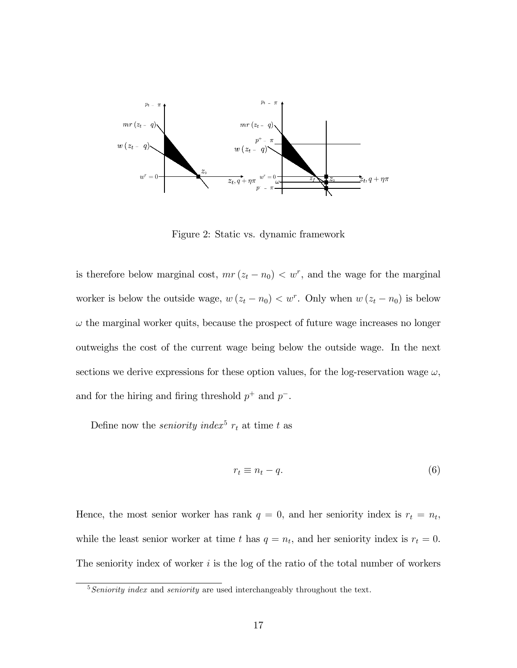

Figure 2: Static vs. dynamic framework

is therefore below marginal cost,  $mr(z_t - n_0) < w^r$ , and the wage for the marginal worker is below the outside wage,  $w(z_t - n_0) < w^r$ . Only when  $w(z_t - n_0)$  is below  $\omega$  the marginal worker quits, because the prospect of future wage increases no longer outweighs the cost of the current wage being below the outside wage. In the next sections we derive expressions for these option values, for the log-reservation wage  $\omega$ , and for the hiring and firing threshold  $p^+$  and  $p^-$ .

Define now the *seniority index*<sup>5</sup>  $r_t$  at time t as

$$
r_t \equiv n_t - q. \tag{6}
$$

Hence, the most senior worker has rank  $q = 0$ , and her seniority index is  $r_t = n_t$ , while the least senior worker at time t has  $q = n_t$ , and her seniority index is  $r_t = 0$ . The seniority index of worker  $i$  is the log of the ratio of the total number of workers

 $5$ Seniority index and seniority are used interchangeably throughout the text.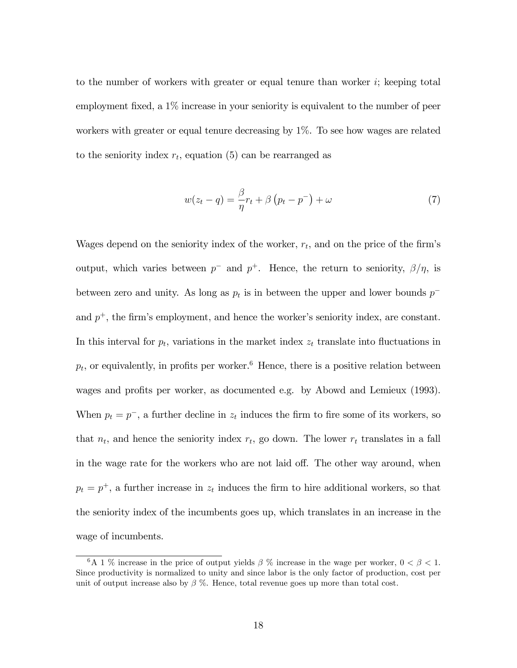to the number of workers with greater or equal tenure than worker  $i$ ; keeping total employment fixed, a  $1\%$  increase in your seniority is equivalent to the number of peer workers with greater or equal tenure decreasing by 1%. To see how wages are related to the seniority index  $r_t$ , equation (5) can be rearranged as

$$
w(z_t - q) = \frac{\beta}{\eta} r_t + \beta \left( p_t - p^- \right) + \omega \tag{7}
$$

Wages depend on the seniority index of the worker,  $r_t$ , and on the price of the firm's output, which varies between  $p^-$  and  $p^+$ . Hence, the return to seniority,  $\beta/\eta$ , is between zero and unity. As long as  $p_t$  is in between the upper and lower bounds  $p^$ and  $p^+$ , the firm's employment, and hence the worker's seniority index, are constant. In this interval for  $p_t$ , variations in the market index  $z_t$  translate into fluctuations in  $p_t$ , or equivalently, in profits per worker.<sup>6</sup> Hence, there is a positive relation between wages and profits per worker, as documented e.g. by Abowd and Lemieux (1993). When  $p_t = p^-$ , a further decline in  $z_t$  induces the firm to fire some of its workers, so that  $n_t$ , and hence the seniority index  $r_t$ , go down. The lower  $r_t$  translates in a fall in the wage rate for the workers who are not laid off. The other way around, when  $p_t = p^+$ , a further increase in  $z_t$  induces the firm to hire additional workers, so that the seniority index of the incumbents goes up, which translates in an increase in the wage of incumbents.

<sup>&</sup>lt;sup>6</sup>A 1 % increase in the price of output yields  $\beta$  % increase in the wage per worker,  $0 < \beta < 1$ . Since productivity is normalized to unity and since labor is the only factor of production, cost per unit of output increase also by  $\beta$  %. Hence, total revenue goes up more than total cost.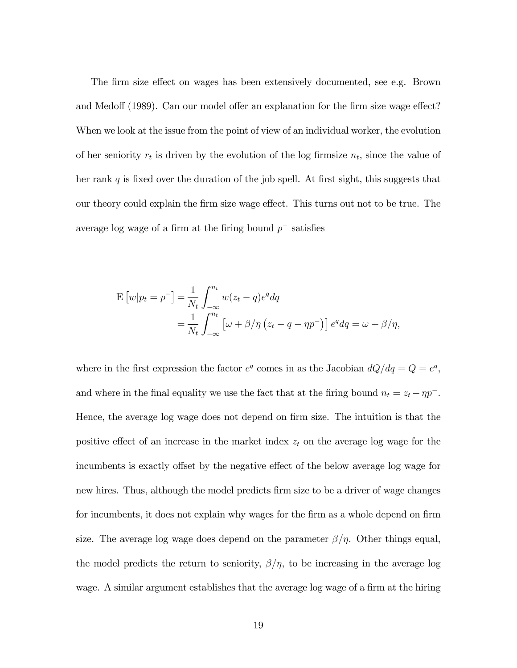The firm size effect on wages has been extensively documented, see e.g. Brown and Medoff (1989). Can our model offer an explanation for the firm size wage effect? When we look at the issue from the point of view of an individual worker, the evolution of her seniority  $r_t$  is driven by the evolution of the log firmsize  $n_t$ , since the value of her rank  $q$  is fixed over the duration of the job spell. At first sight, this suggests that our theory could explain the firm size wage effect. This turns out not to be true. The average log wage of a firm at the firing bound  $p^-$  satisfies

$$
\mathbf{E}\left[w|p_t = p^-\right] = \frac{1}{N_t} \int_{-\infty}^{n_t} w(z_t - q)e^q dq
$$
  
= 
$$
\frac{1}{N_t} \int_{-\infty}^{n_t} \left[\omega + \beta/\eta \left(z_t - q - \eta p^-\right)\right] e^q dq = \omega + \beta/\eta,
$$

where in the first expression the factor  $e^q$  comes in as the Jacobian  $dQ/dq = Q = e^q$ , and where in the final equality we use the fact that at the firing bound  $n_t = z_t - \eta p^-.$ Hence, the average log wage does not depend on firm size. The intuition is that the positive effect of an increase in the market index  $z_t$  on the average log wage for the incumbents is exactly offset by the negative effect of the below average log wage for new hires. Thus, although the model predicts firm size to be a driver of wage changes for incumbents, it does not explain why wages for the firm as a whole depend on firm size. The average log wage does depend on the parameter  $\beta/\eta$ . Other things equal, the model predicts the return to seniority,  $\beta/\eta$ , to be increasing in the average log wage. A similar argument establishes that the average log wage of a firm at the hiring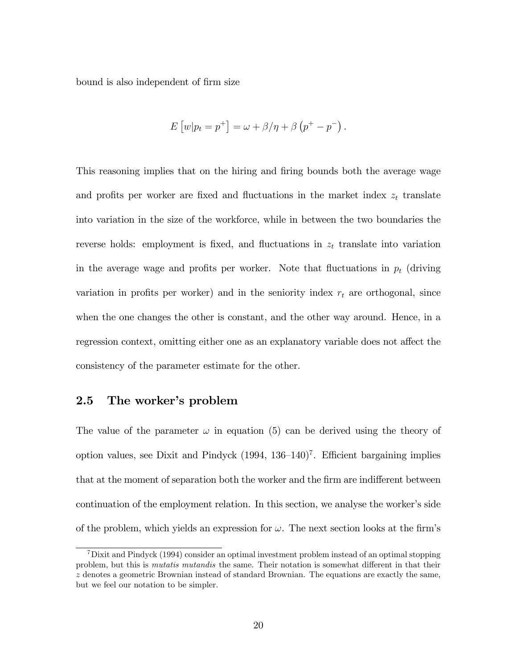bound is also independent of firm size

$$
E [w|p_t = p^+] = \omega + \beta/\eta + \beta (p^+ - p^-).
$$

This reasoning implies that on the hiring and firing bounds both the average wage and profits per worker are fixed and fluctuations in the market index  $z_t$  translate into variation in the size of the workforce, while in between the two boundaries the reverse holds: employment is fixed, and fluctuations in  $z_t$  translate into variation in the average wage and profits per worker. Note that fluctuations in  $p_t$  (driving variation in profits per worker) and in the seniority index  $r_t$  are orthogonal, since when the one changes the other is constant, and the other way around. Hence, in a regression context, omitting either one as an explanatory variable does not affect the consistency of the parameter estimate for the other.

# 2.5 The worker's problem

The value of the parameter  $\omega$  in equation (5) can be derived using the theory of option values, see Dixit and Pindyck  $(1994, 136-140)^7$ . Efficient bargaining implies that at the moment of separation both the worker and the firm are indifferent between continuation of the employment relation. In this section, we analyse the worker's side of the problem, which yields an expression for  $\omega$ . The next section looks at the firm's

<sup>7</sup>Dixit and Pindyck (1994) consider an optimal investment problem instead of an optimal stopping problem, but this is *mutatis mutandis* the same. Their notation is somewhat different in that their z denotes a geometric Brownian instead of standard Brownian. The equations are exactly the same, but we feel our notation to be simpler.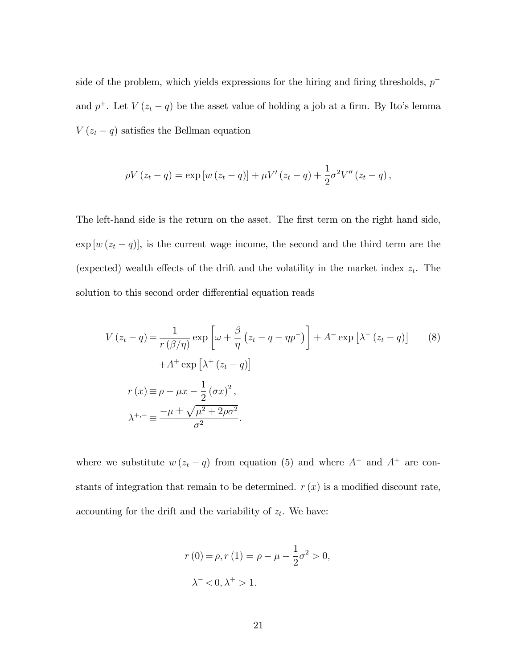side of the problem, which yields expressions for the hiring and firing thresholds,  $p^$ and  $p^+$ . Let  $V(z_t - q)$  be the asset value of holding a job at a firm. By Ito's lemma  $V(z_t - q)$  satisfies the Bellman equation

$$
\rho V (z_t - q) = \exp [w (z_t - q)] + \mu V' (z_t - q) + \frac{1}{2} \sigma^2 V'' (z_t - q) ,
$$

The left-hand side is the return on the asset. The first term on the right hand side,  $\exp\left[w\left(z_t-q\right)\right]$ , is the current wage income, the second and the third term are the (expected) wealth effects of the drift and the volatility in the market index  $z_t$ . The solution to this second order differential equation reads

$$
V(z_t - q) = \frac{1}{r(\beta/\eta)} \exp\left[\omega + \frac{\beta}{\eta} (z_t - q - \eta p^{-})\right] + A^{-} \exp\left[\lambda^{-} (z_t - q)\right]
$$
  

$$
+ A^{+} \exp\left[\lambda^{+} (z_t - q)\right]
$$
  

$$
r(x) \equiv \rho - \mu x - \frac{1}{2} (\sigma x)^2,
$$
  

$$
\lambda^{+,-} \equiv \frac{-\mu \pm \sqrt{\mu^2 + 2\rho \sigma^2}}{\sigma^2}.
$$
 (8)

where we substitute  $w(z_t - q)$  from equation (5) and where  $A^-$  and  $A^+$  are constants of integration that remain to be determined.  $r(x)$  is a modified discount rate, accounting for the drift and the variability of  $z_t$ . We have:

$$
r(0) = \rho, r(1) = \rho - \mu - \frac{1}{2}\sigma^2 > 0,
$$
  

$$
\lambda^{-} < 0, \lambda^{+} > 1.
$$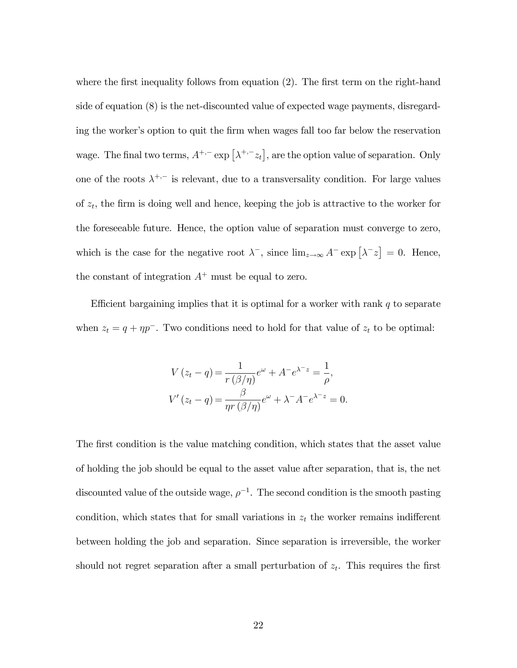where the first inequality follows from equation  $(2)$ . The first term on the right-hand side of equation (8) is the net-discounted value of expected wage payments, disregarding the worker's option to quit the firm when wages fall too far below the reservation wage. The final two terms,  $A^{+,-}$  exp  $\left[\lambda^{+,-} z_t\right]$ , are the option value of separation. Only one of the roots  $\lambda^{+,-}$  is relevant, due to a transversality condition. For large values of  $z_t$ , the firm is doing well and hence, keeping the job is attractive to the worker for the foreseeable future. Hence, the option value of separation must converge to zero, which is the case for the negative root  $\lambda^-$ , since  $\lim_{z\to\infty} A^- \exp\left[\lambda^- z\right] = 0$ . Hence, the constant of integration  $A^+$  must be equal to zero.

Efficient bargaining implies that it is optimal for a worker with rank  $q$  to separate when  $z_t = q + \eta p^{-}$ . Two conditions need to hold for that value of  $z_t$  to be optimal:

$$
V(z_t - q) = \frac{1}{r(\beta/\eta)}e^{\omega} + A^{-}e^{\lambda^{-}z} = \frac{1}{\rho},
$$
  

$$
V'(z_t - q) = \frac{\beta}{\eta r(\beta/\eta)}e^{\omega} + \lambda^{-}A^{-}e^{\lambda^{-}z} = 0.
$$

The first condition is the value matching condition, which states that the asset value of holding the job should be equal to the asset value after separation, that is, the net discounted value of the outside wage,  $\rho^{-1}$ . The second condition is the smooth pasting condition, which states that for small variations in  $z_t$  the worker remains indifferent between holding the job and separation. Since separation is irreversible, the worker should not regret separation after a small perturbation of  $z_t$ . This requires the first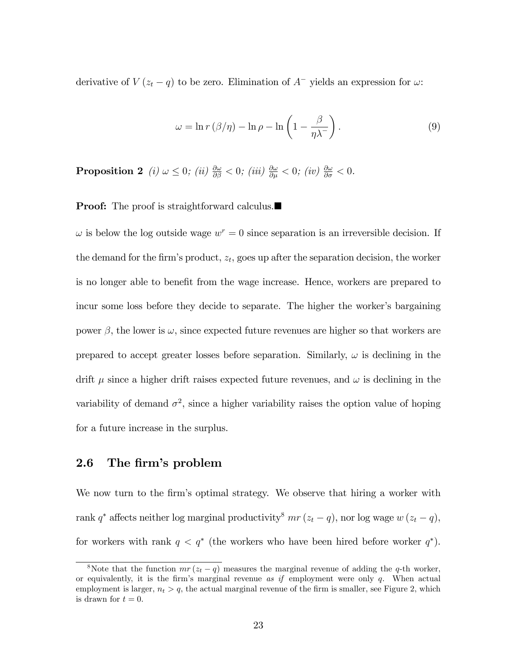derivative of  $V(z_t - q)$  to be zero. Elimination of  $A^-$  yields an expression for  $\omega$ :

$$
\omega = \ln r \left( \frac{\beta}{\eta} \right) - \ln \rho - \ln \left( 1 - \frac{\beta}{\eta \lambda^{-}} \right). \tag{9}
$$

**Proposition 2** (i)  $\omega \leq 0$ ; (ii)  $\frac{\partial \omega}{\partial \beta} < 0$ ; (iii)  $\frac{\partial \omega}{\partial \mu} < 0$ ; (iv)  $\frac{\partial \omega}{\partial \sigma} < 0$ .

**Proof:** The proof is straightforward calculus.

 $\omega$  is below the log outside wage  $w^r = 0$  since separation is an irreversible decision. If the demand for the firm's product,  $z_t$ , goes up after the separation decision, the worker is no longer able to benefit from the wage increase. Hence, workers are prepared to incur some loss before they decide to separate. The higher the worker's bargaining power  $\beta$ , the lower is  $\omega$ , since expected future revenues are higher so that workers are prepared to accept greater losses before separation. Similarly,  $\omega$  is declining in the drift  $\mu$  since a higher drift raises expected future revenues, and  $\omega$  is declining in the variability of demand  $\sigma^2$ , since a higher variability raises the option value of hoping for a future increase in the surplus.

## 2.6 The firm's problem

We now turn to the firm's optimal strategy. We observe that hiring a worker with rank  $q^*$  affects neither log marginal productivity<sup>8</sup>  $mr (z_t - q)$ , nor log wage  $w (z_t - q)$ , for workers with rank  $q \leq q^*$  (the workers who have been hired before worker  $q^*$ ).

<sup>&</sup>lt;sup>8</sup>Note that the function  $mr(z_t - q)$  measures the marginal revenue of adding the q-th worker, or equivalently, it is the firm's marginal revenue as if employment were only  $q$ . When actual employment is larger,  $n_t > q$ , the actual marginal revenue of the firm is smaller, see Figure 2, which is drawn for  $t = 0$ .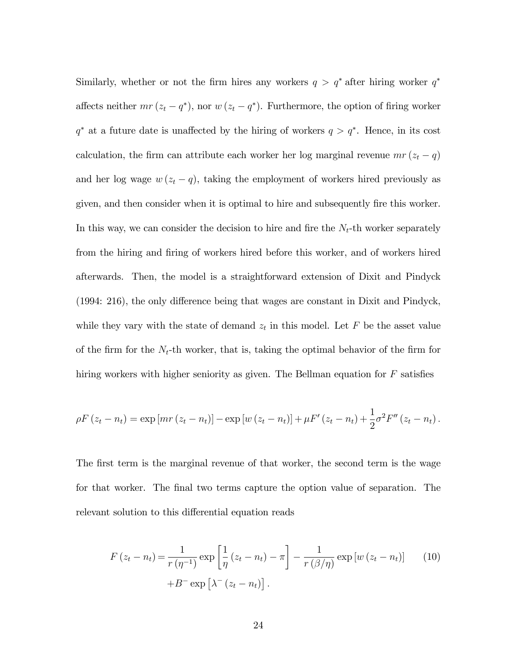Similarly, whether or not the firm hires any workers  $q > q^*$  after hiring worker  $q^*$ affects neither  $mr (z_t - q^*)$ , nor  $w (z_t - q^*)$ . Furthermore, the option of firing worker  $q^*$  at a future date is unaffected by the hiring of workers  $q > q^*$ . Hence, in its cost calculation, the firm can attribute each worker her log marginal revenue  $mr(z_t - q)$ and her log wage  $w(z_t - q)$ , taking the employment of workers hired previously as given, and then consider when it is optimal to hire and subsequently fire this worker. In this way, we can consider the decision to hire and fire the  $N_t$ -th worker separately from the hiring and firing of workers hired before this worker, and of workers hired afterwards. Then, the model is a straightforward extension of Dixit and Pindyck  $(1994: 216)$ , the only difference being that wages are constant in Dixit and Pindyck, while they vary with the state of demand  $z_t$  in this model. Let F be the asset value of the firm for the  $N_t$ -th worker, that is, taking the optimal behavior of the firm for hiring workers with higher seniority as given. The Bellman equation for  $F$  satisfies

$$
\rho F(z_t - n_t) = \exp\left[ mr(z_t - n_t) \right] - \exp\left[ w(z_t - n_t) \right] + \mu F'(z_t - n_t) + \frac{1}{2} \sigma^2 F''(z_t - n_t).
$$

The first term is the marginal revenue of that worker, the second term is the wage for that worker. The final two terms capture the option value of separation. The relevant solution to this differential equation reads

$$
F(z_t - n_t) = \frac{1}{r(\eta^{-1})} \exp\left[\frac{1}{\eta}(z_t - n_t) - \pi\right] - \frac{1}{r(\beta/\eta)} \exp[w(z_t - n_t)] \qquad (10)
$$

$$
+ B^- \exp[\lambda^-(z_t - n_t)].
$$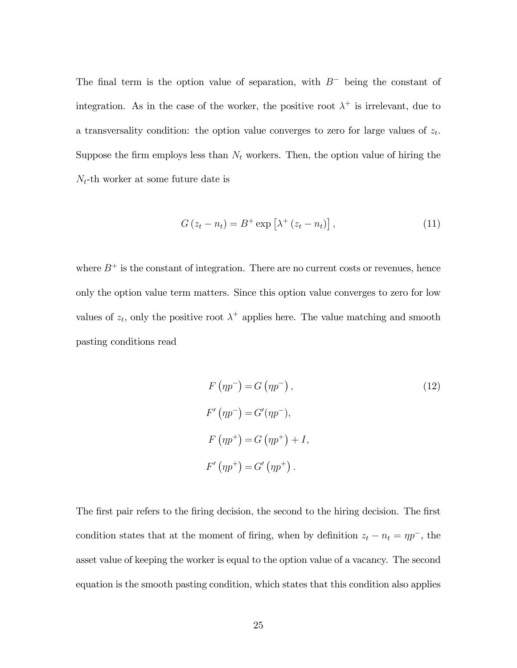The final term is the option value of separation, with  $B^-$  being the constant of integration. As in the case of the worker, the positive root  $\lambda^+$  is irrelevant, due to a transversality condition: the option value converges to zero for large values of  $z_t$ . Suppose the firm employs less than  $N_t$  workers. Then, the option value of hiring the  $N_t$ -th worker at some future date is

$$
G(z_t - n_t) = B^+ \exp\left[\lambda^+ (z_t - n_t)\right], \qquad (11)
$$

where  $B^+$  is the constant of integration. There are no current costs or revenues, hence only the option value term matters. Since this option value converges to zero for low values of  $z_t$ , only the positive root  $\lambda^+$  applies here. The value matching and smooth pasting conditions read

$$
F(\eta p^{-}) = G(\eta p^{-}),
$$
  
\n
$$
F'(\eta p^{-}) = G'(\eta p^{-}),
$$
  
\n
$$
F(\eta p^{+}) = G(\eta p^{+}) + I,
$$
  
\n
$$
F'(\eta p^{+}) = G'(\eta p^{+}).
$$
  
\n(12)

The first pair refers to the firing decision, the second to the hiring decision. The first condition states that at the moment of firing, when by definition  $z_t - n_t = \eta p^{-}$ , the asset value of keeping the worker is equal to the option value of a vacancy. The second equation is the smooth pasting condition, which states that this condition also applies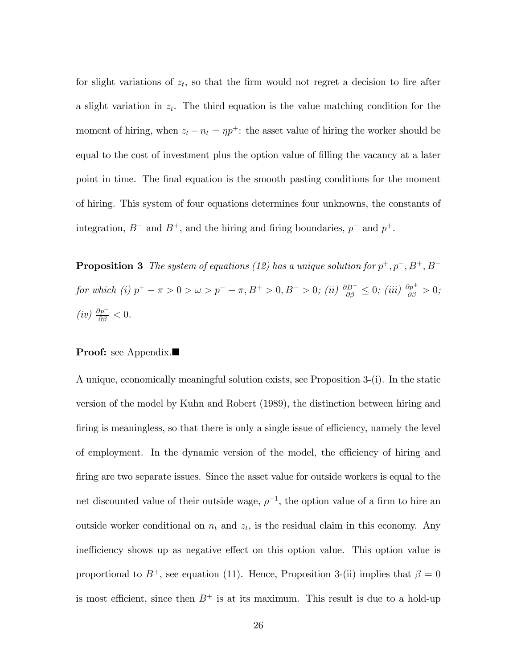for slight variations of  $z_t$ , so that the firm would not regret a decision to fire after a slight variation in  $z_t$ . The third equation is the value matching condition for the moment of hiring, when  $z_t - n_t = \eta p^+$ : the asset value of hiring the worker should be equal to the cost of investment plus the option value of filling the vacancy at a later point in time. The final equation is the smooth pasting conditions for the moment of hiring. This system of four equations determines four unknowns, the constants of integration,  $B^-$  and  $B^+$ , and the hiring and firing boundaries,  $p^-$  and  $p^+$ .

**Proposition 3** The system of equations (12) has a unique solution for  $p^+, p^-, B^+, B^$ for which (i)  $p^+ - \pi > 0 > \omega > p^- - \pi, B^+ > 0, B^- > 0$ ; (ii)  $\frac{\partial B^+}{\partial \beta} \leq 0$ ; (iii)  $\frac{\partial p^+}{\partial \beta} > 0$ ;  $(iv) \frac{\partial p^{-}}{\partial \beta} < 0.$ 

#### Proof: see Appendix.■

A unique, economically meaningful solution exists, see Proposition 3-(i). In the static version of the model by Kuhn and Robert (1989), the distinction between hiring and firing is meaningless, so that there is only a single issue of efficiency, namely the level of employment. In the dynamic version of the model, the efficiency of hiring and firing are two separate issues. Since the asset value for outside workers is equal to the net discounted value of their outside wage,  $\rho^{-1}$ , the option value of a firm to hire an outside worker conditional on  $n_t$  and  $z_t$ , is the residual claim in this economy. Any inefficiency shows up as negative effect on this option value. This option value is proportional to  $B^+$ , see equation (11). Hence, Proposition 3-(ii) implies that  $\beta = 0$ is most efficient, since then  $B^+$  is at its maximum. This result is due to a hold-up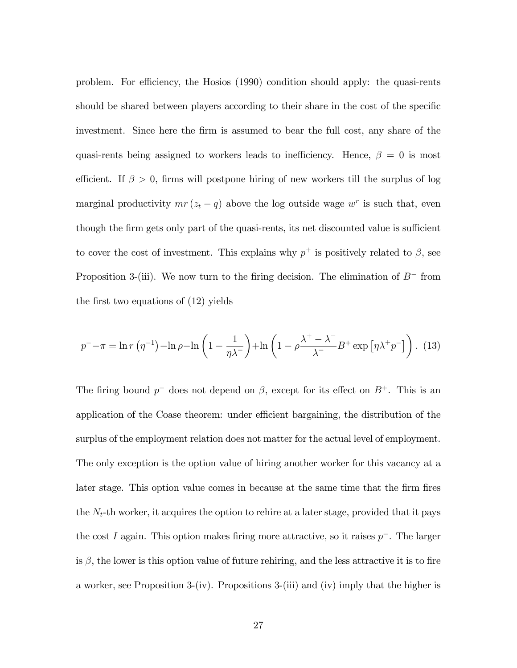problem. For efficiency, the Hosios (1990) condition should apply: the quasi-rents should be shared between players according to their share in the cost of the specific investment. Since here the firm is assumed to bear the full cost, any share of the quasi-rents being assigned to workers leads to inefficiency. Hence,  $\beta = 0$  is most efficient. If  $\beta > 0$ , firms will postpone hiring of new workers till the surplus of log marginal productivity  $mr(z_t - q)$  above the log outside wage  $w^r$  is such that, even though the firm gets only part of the quasi-rents, its net discounted value is sufficient to cover the cost of investment. This explains why  $p^+$  is positively related to  $\beta$ , see Proposition 3-(iii). We now turn to the firing decision. The elimination of  $B^-$  from the first two equations of  $(12)$  yields

$$
p^{-} - \pi = \ln r \left( \eta^{-1} \right) - \ln \rho - \ln \left( 1 - \frac{1}{\eta \lambda^{-}} \right) + \ln \left( 1 - \rho \frac{\lambda^{+} - \lambda^{-}}{\lambda^{-}} B^{+} \exp \left[ \eta \lambda^{+} p^{-} \right] \right). \tag{13}
$$

The firing bound  $p^-$  does not depend on  $\beta$ , except for its effect on  $B^+$ . This is an application of the Coase theorem: under efficient bargaining, the distribution of the surplus of the employment relation does not matter for the actual level of employment. The only exception is the option value of hiring another worker for this vacancy at a later stage. This option value comes in because at the same time that the firm fires the  $N_t$ -th worker, it acquires the option to rehire at a later stage, provided that it pays the cost I again. This option makes firing more attractive, so it raises  $p^-$ . The larger is  $\beta$ , the lower is this option value of future rehiring, and the less attractive it is to fire a worker, see Proposition 3-(iv). Propositions 3-(iii) and (iv) imply that the higher is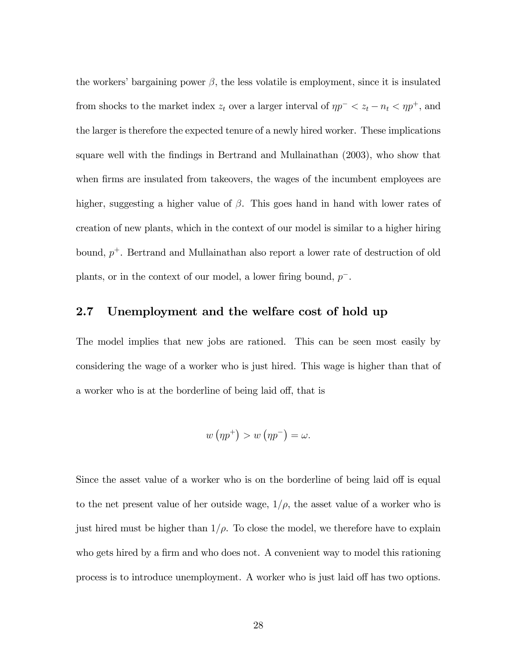the workers' bargaining power  $\beta$ , the less volatile is employment, since it is insulated from shocks to the market index  $z_t$  over a larger interval of  $\eta p^- < z_t - n_t < \eta p^+$ , and the larger is therefore the expected tenure of a newly hired worker. These implications square well with the Öndings in Bertrand and Mullainathan (2003), who show that when firms are insulated from takeovers, the wages of the incumbent employees are higher, suggesting a higher value of  $\beta$ . This goes hand in hand with lower rates of creation of new plants, which in the context of our model is similar to a higher hiring bound,  $p^+$ . Bertrand and Mullainathan also report a lower rate of destruction of old plants, or in the context of our model, a lower firing bound,  $p^-$ .

# 2.7 Unemployment and the welfare cost of hold up

The model implies that new jobs are rationed. This can be seen most easily by considering the wage of a worker who is just hired. This wage is higher than that of a worker who is at the borderline of being laid off, that is

$$
w(\eta p^+) > w(\eta p^-) = \omega.
$$

Since the asset value of a worker who is on the borderline of being laid off is equal to the net present value of her outside wage,  $1/\rho$ , the asset value of a worker who is just hired must be higher than  $1/\rho$ . To close the model, we therefore have to explain who gets hired by a firm and who does not. A convenient way to model this rationing process is to introduce unemployment. A worker who is just laid off has two options.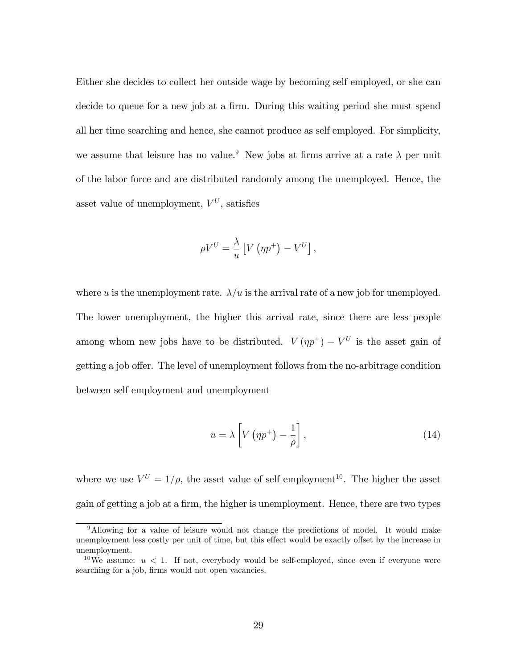Either she decides to collect her outside wage by becoming self employed, or she can decide to queue for a new job at a firm. During this waiting period she must spend all her time searching and hence, she cannot produce as self employed. For simplicity, we assume that leisure has no value.<sup>9</sup> New jobs at firms arrive at a rate  $\lambda$  per unit of the labor force and are distributed randomly among the unemployed. Hence, the asset value of unemployment,  $V^U$ , satisfies

$$
\rho V^{U} = \frac{\lambda}{u} \left[ V \left( \eta p^{+} \right) - V^{U} \right],
$$

where u is the unemployment rate.  $\lambda/u$  is the arrival rate of a new job for unemployed. The lower unemployment, the higher this arrival rate, since there are less people among whom new jobs have to be distributed.  $V(\eta p^+) - V^U$  is the asset gain of getting a job offer. The level of unemployment follows from the no-arbitrage condition between self employment and unemployment

$$
u = \lambda \left[ V \left( \eta p^+ \right) - \frac{1}{\rho} \right], \tag{14}
$$

where we use  $V^U = 1/\rho$ , the asset value of self employment<sup>10</sup>. The higher the asset gain of getting a job at a firm, the higher is unemployment. Hence, there are two types

<sup>9</sup>Allowing for a value of leisure would not change the predictions of model. It would make unemployment less costly per unit of time, but this effect would be exactly offset by the increase in unemployment.

<sup>&</sup>lt;sup>10</sup>We assume:  $u < 1$ . If not, everybody would be self-employed, since even if everyone were searching for a job, firms would not open vacancies.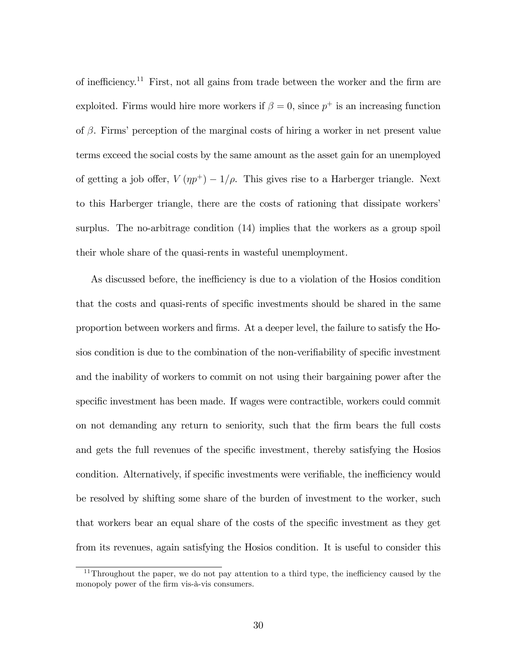of inefficiency.<sup>11</sup> First, not all gains from trade between the worker and the firm are exploited. Firms would hire more workers if  $\beta = 0$ , since  $p^+$  is an increasing function of  $\beta$ . Firms' perception of the marginal costs of hiring a worker in net present value terms exceed the social costs by the same amount as the asset gain for an unemployed of getting a job offer,  $V(\eta p^+) - 1/\rho$ . This gives rise to a Harberger triangle. Next to this Harberger triangle, there are the costs of rationing that dissipate workers' surplus. The no-arbitrage condition (14) implies that the workers as a group spoil their whole share of the quasi-rents in wasteful unemployment.

As discussed before, the inefficiency is due to a violation of the Hosios condition that the costs and quasi-rents of specific investments should be shared in the same proportion between workers and Örms. At a deeper level, the failure to satisfy the Hosios condition is due to the combination of the non-verifiability of specific investment and the inability of workers to commit on not using their bargaining power after the specific investment has been made. If wages were contractible, workers could commit on not demanding any return to seniority, such that the Örm bears the full costs and gets the full revenues of the specific investment, thereby satisfying the Hosios condition. Alternatively, if specific investments were verifiable, the inefficiency would be resolved by shifting some share of the burden of investment to the worker, such that workers bear an equal share of the costs of the specific investment as they get from its revenues, again satisfying the Hosios condition. It is useful to consider this

 $11$ Throughout the paper, we do not pay attention to a third type, the inefficiency caused by the monopoly power of the firm vis-à-vis consumers.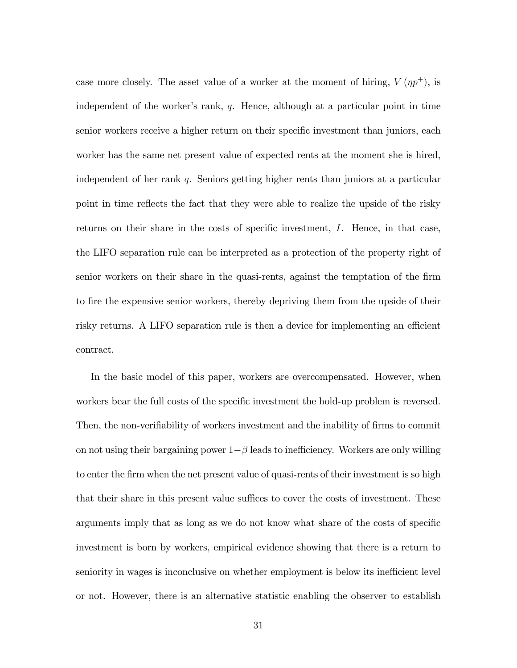case more closely. The asset value of a worker at the moment of hiring,  $V(\eta p^+)$ , is independent of the worker's rank,  $q$ . Hence, although at a particular point in time senior workers receive a higher return on their specific investment than juniors, each worker has the same net present value of expected rents at the moment she is hired, independent of her rank  $q$ . Seniors getting higher rents than juniors at a particular point in time reflects the fact that they were able to realize the upside of the risky returns on their share in the costs of specific investment,  $I$ . Hence, in that case, the LIFO separation rule can be interpreted as a protection of the property right of senior workers on their share in the quasi-rents, against the temptation of the firm to fire the expensive senior workers, thereby depriving them from the upside of their risky returns. A LIFO separation rule is then a device for implementing an efficient contract.

In the basic model of this paper, workers are overcompensated. However, when workers bear the full costs of the specific investment the hold-up problem is reversed. Then, the non-verifiability of workers investment and the inability of firms to commit on not using their bargaining power  $1-\beta$  leads to inefficiency. Workers are only willing to enter the firm when the net present value of quasi-rents of their investment is so high that their share in this present value suffices to cover the costs of investment. These arguments imply that as long as we do not know what share of the costs of specific investment is born by workers, empirical evidence showing that there is a return to seniority in wages is inconclusive on whether employment is below its inefficient level or not. However, there is an alternative statistic enabling the observer to establish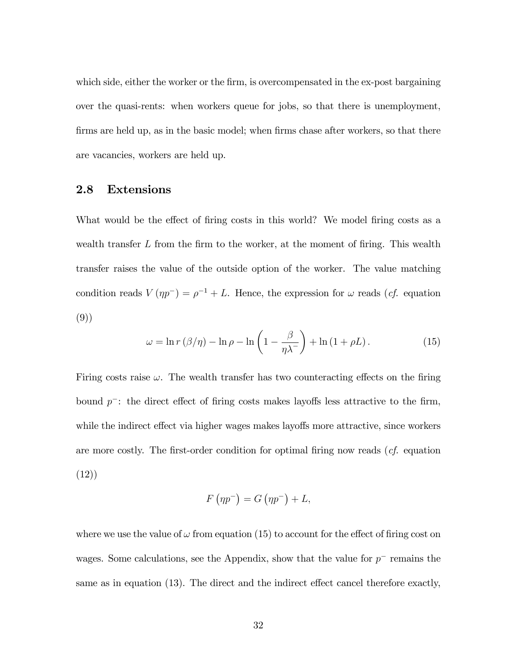which side, either the worker or the firm, is overcompensated in the ex-post bargaining over the quasi-rents: when workers queue for jobs, so that there is unemployment, firms are held up, as in the basic model; when firms chase after workers, so that there are vacancies, workers are held up.

#### 2.8 Extensions

What would be the effect of firing costs in this world? We model firing costs as a wealth transfer  $L$  from the firm to the worker, at the moment of firing. This wealth transfer raises the value of the outside option of the worker. The value matching condition reads  $V(p p^-) = \rho^{-1} + L$ . Hence, the expression for  $\omega$  reads (*cf.* equation (9))

$$
\omega = \ln r \left( \beta / \eta \right) - \ln \rho - \ln \left( 1 - \frac{\beta}{\eta \lambda^{-}} \right) + \ln \left( 1 + \rho L \right). \tag{15}
$$

Firing costs raise  $\omega$ . The wealth transfer has two counteracting effects on the firing bound  $p^-$ : the direct effect of firing costs makes layoffs less attractive to the firm, while the indirect effect via higher wages makes layoffs more attractive, since workers are more costly. The first-order condition for optimal firing now reads  $(cf.$  equation (12))

$$
F\left(\eta p^{-}\right) = G\left(\eta p^{-}\right) + L,
$$

where we use the value of  $\omega$  from equation (15) to account for the effect of firing cost on wages. Some calculations, see the Appendix, show that the value for  $p^-$  remains the same as in equation  $(13)$ . The direct and the indirect effect cancel therefore exactly,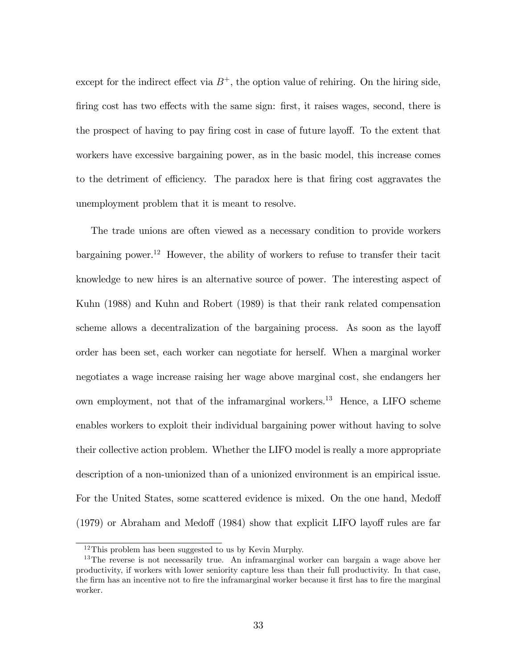except for the indirect effect via  $B^+$ , the option value of rehiring. On the hiring side, firing cost has two effects with the same sign: first, it raises wages, second, there is the prospect of having to pay firing cost in case of future layoff. To the extent that workers have excessive bargaining power, as in the basic model, this increase comes to the detriment of efficiency. The paradox here is that firing cost aggravates the unemployment problem that it is meant to resolve.

The trade unions are often viewed as a necessary condition to provide workers bargaining power.<sup>12</sup> However, the ability of workers to refuse to transfer their tacit knowledge to new hires is an alternative source of power. The interesting aspect of Kuhn (1988) and Kuhn and Robert (1989) is that their rank related compensation scheme allows a decentralization of the bargaining process. As soon as the layoff order has been set, each worker can negotiate for herself. When a marginal worker negotiates a wage increase raising her wage above marginal cost, she endangers her own employment, not that of the inframarginal workers.<sup>13</sup> Hence, a LIFO scheme enables workers to exploit their individual bargaining power without having to solve their collective action problem. Whether the LIFO model is really a more appropriate description of a non-unionized than of a unionized environment is an empirical issue. For the United States, some scattered evidence is mixed. On the one hand, Medoff  $(1979)$  or Abraham and Medoff  $(1984)$  show that explicit LIFO layoff rules are far

<sup>12</sup>This problem has been suggested to us by Kevin Murphy.

<sup>&</sup>lt;sup>13</sup>The reverse is not necessarily true. An inframarginal worker can bargain a wage above her productivity, if workers with lower seniority capture less than their full productivity. In that case, the firm has an incentive not to fire the inframarginal worker because it first has to fire the marginal worker.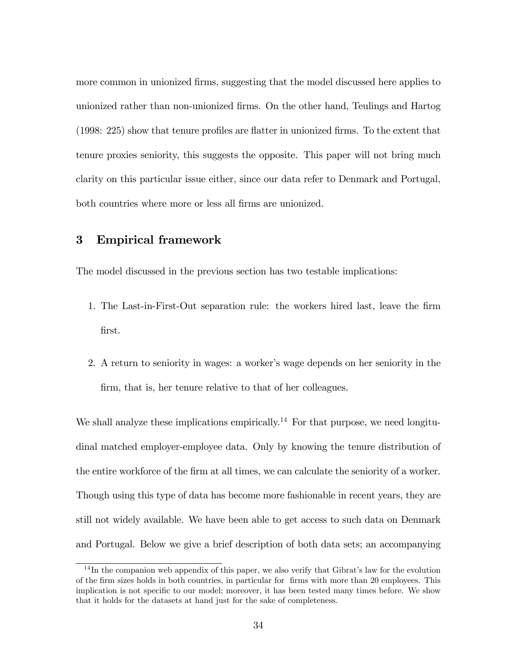more common in unionized firms, suggesting that the model discussed here applies to unionized rather than non-unionized Örms. On the other hand, Teulings and Hartog  $(1998: 225)$  show that tenure profiles are flatter in unionized firms. To the extent that tenure proxies seniority, this suggests the opposite. This paper will not bring much clarity on this particular issue either, since our data refer to Denmark and Portugal, both countries where more or less all firms are unionized.

#### 3 Empirical framework

The model discussed in the previous section has two testable implications:

- 1. The Last-in-First-Out separation rule: the workers hired last, leave the Örm first.
- 2. A return to seniority in wages: a worker's wage depends on her seniority in the firm, that is, her tenure relative to that of her colleagues.

We shall analyze these implications empirically.<sup>14</sup> For that purpose, we need longitudinal matched employer-employee data. Only by knowing the tenure distribution of the entire workforce of the firm at all times, we can calculate the seniority of a worker. Though using this type of data has become more fashionable in recent years, they are still not widely available. We have been able to get access to such data on Denmark and Portugal. Below we give a brief description of both data sets; an accompanying

 $14$ In the companion web appendix of this paper, we also verify that Gibrat's law for the evolution of the firm sizes holds in both countries, in particular for firms with more than 20 employees. This implication is not specific to our model; moreover, it has been tested many times before. We show that it holds for the datasets at hand just for the sake of completeness.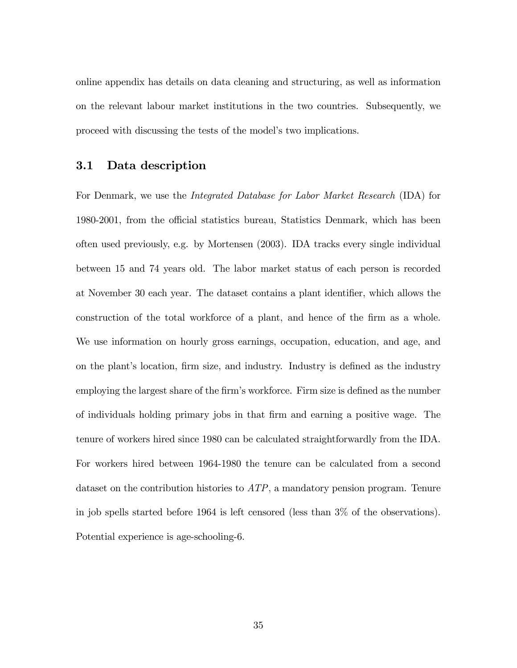online appendix has details on data cleaning and structuring, as well as information on the relevant labour market institutions in the two countries. Subsequently, we proceed with discussing the tests of the model's two implications.

#### 3.1 Data description

For Denmark, we use the Integrated Database for Labor Market Research (IDA) for 1980-2001, from the official statistics bureau, Statistics Denmark, which has been often used previously, e.g. by Mortensen (2003). IDA tracks every single individual between 15 and 74 years old. The labor market status of each person is recorded at November 30 each year. The dataset contains a plant identifier, which allows the construction of the total workforce of a plant, and hence of the firm as a whole. We use information on hourly gross earnings, occupation, education, and age, and on the plant's location, firm size, and industry. Industry is defined as the industry employing the largest share of the firm's workforce. Firm size is defined as the number of individuals holding primary jobs in that Örm and earning a positive wage. The tenure of workers hired since 1980 can be calculated straightforwardly from the IDA. For workers hired between 1964-1980 the tenure can be calculated from a second dataset on the contribution histories to  $ATP$ , a mandatory pension program. Tenure in job spells started before 1964 is left censored (less than 3% of the observations). Potential experience is age-schooling-6.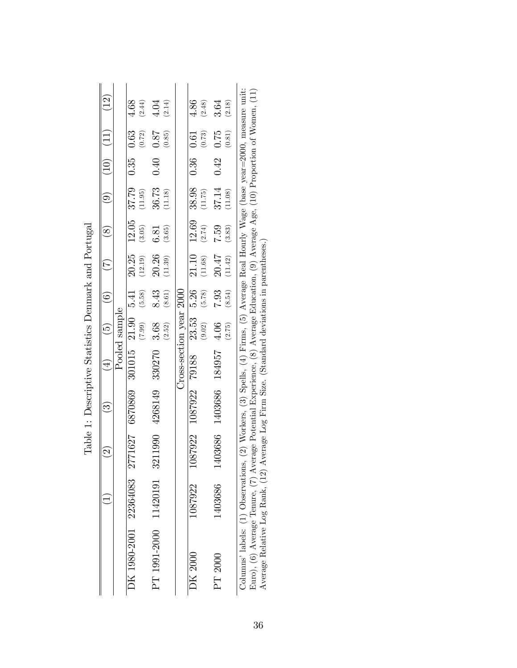| I<br>1<br>ì<br>ĺ<br>$\sim$ $\sim$ $\sim$ $\sim$<br>)<br> <br> |
|---------------------------------------------------------------|
| j<br>ì<br>ĺ                                                   |
| $-2.7 + 0.4$<br>I<br>Ò                                        |
| $\frac{1}{2}$<br>ı<br>1<br>ĺ                                  |
| .<br>1<br>I<br>į<br>l                                         |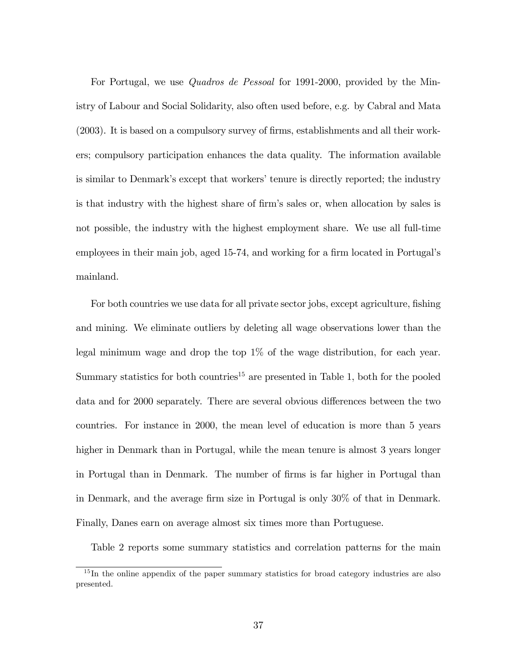For Portugal, we use Quadros de Pessoal for 1991-2000, provided by the Ministry of Labour and Social Solidarity, also often used before, e.g. by Cabral and Mata  $(2003)$ . It is based on a compulsory survey of firms, establishments and all their workers; compulsory participation enhances the data quality. The information available is similar to Denmark's except that workers' tenure is directly reported; the industry is that industry with the highest share of firm's sales or, when allocation by sales is not possible, the industry with the highest employment share. We use all full-time employees in their main job, aged 15-74, and working for a firm located in Portugal's mainland.

For both countries we use data for all private sector jobs, except agriculture, fishing and mining. We eliminate outliers by deleting all wage observations lower than the legal minimum wage and drop the top 1% of the wage distribution, for each year. Summary statistics for both countries<sup>15</sup> are presented in Table 1, both for the pooled data and for 2000 separately. There are several obvious differences between the two countries. For instance in 2000, the mean level of education is more than 5 years higher in Denmark than in Portugal, while the mean tenure is almost 3 years longer in Portugal than in Denmark. The number of firms is far higher in Portugal than in Denmark, and the average firm size in Portugal is only 30% of that in Denmark. Finally, Danes earn on average almost six times more than Portuguese.

Table 2 reports some summary statistics and correlation patterns for the main

<sup>&</sup>lt;sup>15</sup>In the online appendix of the paper summary statistics for broad category industries are also presented.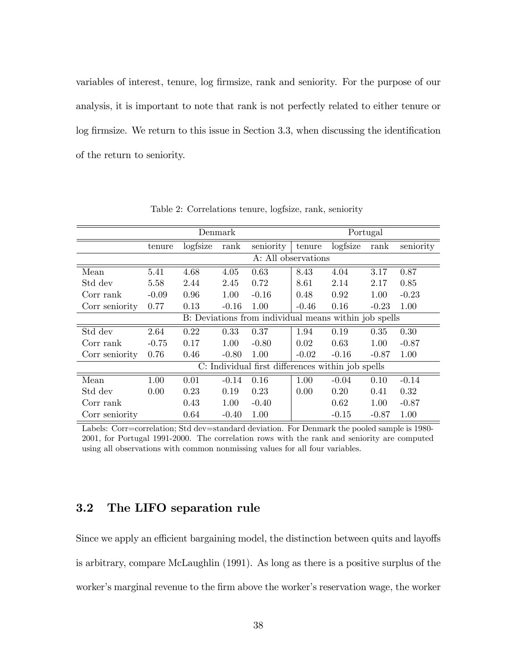variables of interest, tenure, log firmsize, rank and seniority. For the purpose of our analysis, it is important to note that rank is not perfectly related to either tenure or  $log$  firmsize. We return to this issue in Section 3.3, when discussing the identification of the return to seniority.

|                                                   |         |          | Denmark |                                                       | Portugal |          |         |           |  |  |
|---------------------------------------------------|---------|----------|---------|-------------------------------------------------------|----------|----------|---------|-----------|--|--|
|                                                   | tenure  | logfsize | rank    | seniority                                             | tenure   | logfsize | rank    | seniority |  |  |
|                                                   |         |          |         | A: All observations                                   |          |          |         |           |  |  |
| Mean                                              | 5.41    | 4.68     | 4.05    | 0.63                                                  | 8.43     | 4.04     | 3.17    | 0.87      |  |  |
| Std dev                                           | 5.58    | 2.44     | 2.45    | 0.72                                                  | 8.61     | 2.14     | 2.17    | 0.85      |  |  |
| Corr rank                                         | $-0.09$ | 0.96     | 1.00    | $-0.16$                                               | 0.48     | 0.92     | 1.00    | $-0.23$   |  |  |
| Corr seniority                                    | 0.77    | 0.13     | $-0.16$ | 1.00                                                  | $-0.46$  | 0.16     | $-0.23$ | 1.00      |  |  |
|                                                   |         |          |         | B: Deviations from individual means within job spells |          |          |         |           |  |  |
| Std dev                                           | 2.64    | 0.22     | 0.33    | 0.37                                                  | 1.94     | 0.19     | 0.35    | 0.30      |  |  |
| Corr rank                                         | $-0.75$ | 0.17     | 1.00    | $-0.80$                                               | 0.02     | 0.63     | 1.00    | $-0.87$   |  |  |
| Corr seniority                                    | 0.76    | 0.46     | $-0.80$ | 1.00                                                  | $-0.02$  | $-0.16$  | $-0.87$ | 1.00      |  |  |
| C: Individual first differences within job spells |         |          |         |                                                       |          |          |         |           |  |  |
| Mean                                              | 1.00    | 0.01     | $-0.14$ | 0.16                                                  | 1.00     | $-0.04$  | 0.10    | $-0.14$   |  |  |
| Std dev                                           | 0.00    | 0.23     | 0.19    | 0.23                                                  | 0.00     | 0.20     | 0.41    | 0.32      |  |  |
| Corr rank                                         |         | 0.43     | 1.00    | $-0.40$                                               |          | 0.62     | 1.00    | $-0.87$   |  |  |
| Corr seniority                                    |         | 0.64     | $-0.40$ | 1.00                                                  |          | $-0.15$  | $-0.87$ | 1.00      |  |  |

Table 2: Correlations tenure, logfsize, rank, seniority

Labels: Corr=correlation; Std dev=standard deviation. For Denmark the pooled sample is 1980-2001, for Portugal 1991-2000. The correlation rows with the rank and seniority are computed using all observations with common nonmissing values for all four variables.

# 3.2 The LIFO separation rule

Since we apply an efficient bargaining model, the distinction between quits and layoffs is arbitrary, compare McLaughlin (1991). As long as there is a positive surplus of the worker's marginal revenue to the firm above the worker's reservation wage, the worker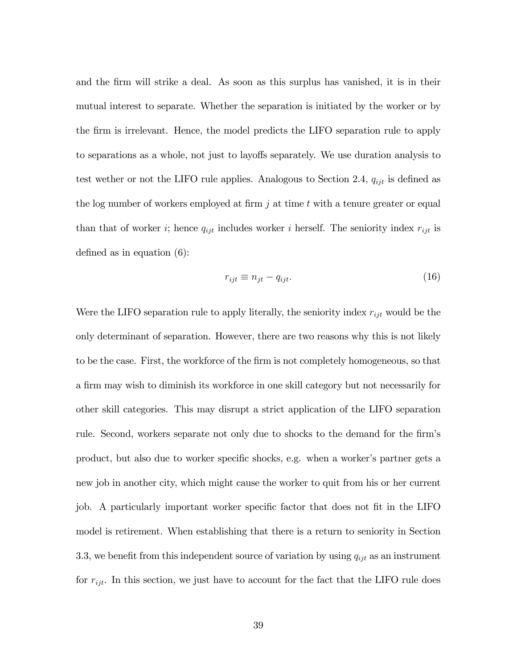and the Örm will strike a deal. As soon as this surplus has vanished, it is in their mutual interest to separate. Whether the separation is initiated by the worker or by the Örm is irrelevant. Hence, the model predicts the LIFO separation rule to apply to separations as a whole, not just to layoffs separately. We use duration analysis to test wether or not the LIFO rule applies. Analogous to Section 2.4,  $q_{ijt}$  is defined as the log number of workers employed at firm  $j$  at time  $t$  with a tenure greater or equal than that of worker i; hence  $q_{ijt}$  includes worker i herself. The seniority index  $r_{ijt}$  is defined as in equation  $(6)$ :

$$
r_{ijt} \equiv n_{jt} - q_{ijt}.\tag{16}
$$

Were the LIFO separation rule to apply literally, the seniority index  $r_{ijt}$  would be the only determinant of separation. However, there are two reasons why this is not likely to be the case. First, the workforce of the firm is not completely homogeneous, so that a firm may wish to diminish its workforce in one skill category but not necessarily for other skill categories. This may disrupt a strict application of the LIFO separation rule. Second, workers separate not only due to shocks to the demand for the firm's product, but also due to worker specific shocks, e.g. when a worker's partner gets a new job in another city, which might cause the worker to quit from his or her current job. A particularly important worker specific factor that does not fit in the LIFO model is retirement. When establishing that there is a return to seniority in Section 3.3, we benefit from this independent source of variation by using  $q_{ijt}$  as an instrument for  $r_{ijt}$ . In this section, we just have to account for the fact that the LIFO rule does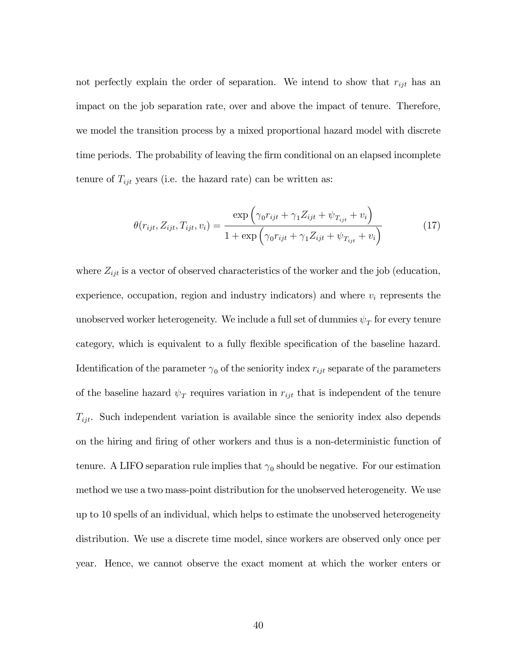not perfectly explain the order of separation. We intend to show that  $r_{ijt}$  has an impact on the job separation rate, over and above the impact of tenure. Therefore, we model the transition process by a mixed proportional hazard model with discrete time periods. The probability of leaving the firm conditional on an elapsed incomplete tenure of  $T_{ijt}$  years (i.e. the hazard rate) can be written as:

$$
\theta(r_{ijt}, Z_{ijt}, T_{ijt}, v_i) = \frac{\exp\left(\gamma_0 r_{ijt} + \gamma_1 Z_{ijt} + \psi_{T_{ijt}} + v_i\right)}{1 + \exp\left(\gamma_0 r_{ijt} + \gamma_1 Z_{ijt} + \psi_{T_{ijt}} + v_i\right)}
$$
(17)

where  $Z_{ijt}$  is a vector of observed characteristics of the worker and the job (education, experience, occupation, region and industry indicators) and where  $v_i$  represents the unobserved worker heterogeneity. We include a full set of dummies  $\psi_T$  for every tenure category, which is equivalent to a fully flexible specification of the baseline hazard. Identification of the parameter  $\gamma_0$  of the seniority index  $r_{ijt}$  separate of the parameters of the baseline hazard  $\psi_T$  requires variation in  $r_{ijt}$  that is independent of the tenure  $T_{ijt}$ . Such independent variation is available since the seniority index also depends on the hiring and Öring of other workers and thus is a non-deterministic function of tenure. A LIFO separation rule implies that  $\gamma_0$  should be negative. For our estimation method we use a two mass-point distribution for the unobserved heterogeneity. We use up to 10 spells of an individual, which helps to estimate the unobserved heterogeneity distribution. We use a discrete time model, since workers are observed only once per year. Hence, we cannot observe the exact moment at which the worker enters or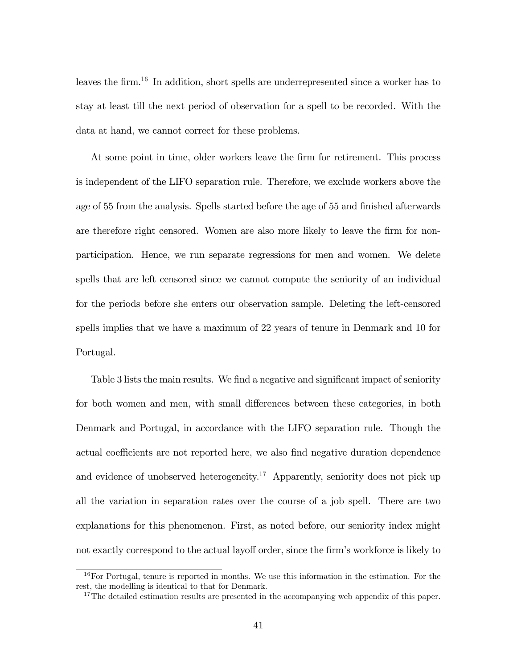leaves the firm.<sup>16</sup> In addition, short spells are underrepresented since a worker has to stay at least till the next period of observation for a spell to be recorded. With the data at hand, we cannot correct for these problems.

At some point in time, older workers leave the firm for retirement. This process is independent of the LIFO separation rule. Therefore, we exclude workers above the age of 55 from the analysis. Spells started before the age of 55 and finished afterwards are therefore right censored. Women are also more likely to leave the firm for nonparticipation. Hence, we run separate regressions for men and women. We delete spells that are left censored since we cannot compute the seniority of an individual for the periods before she enters our observation sample. Deleting the left-censored spells implies that we have a maximum of 22 years of tenure in Denmark and 10 for Portugal.

Table 3 lists the main results. We find a negative and significant impact of seniority for both women and men, with small differences between these categories, in both Denmark and Portugal, in accordance with the LIFO separation rule. Though the actual coefficients are not reported here, we also find negative duration dependence and evidence of unobserved heterogeneity.<sup>17</sup> Apparently, seniority does not pick up all the variation in separation rates over the course of a job spell. There are two explanations for this phenomenon. First, as noted before, our seniority index might not exactly correspond to the actual layoff order, since the firm's workforce is likely to

<sup>&</sup>lt;sup>16</sup>For Portugal, tenure is reported in months. We use this information in the estimation. For the rest, the modelling is identical to that for Denmark.

<sup>&</sup>lt;sup>17</sup>The detailed estimation results are presented in the accompanying web appendix of this paper.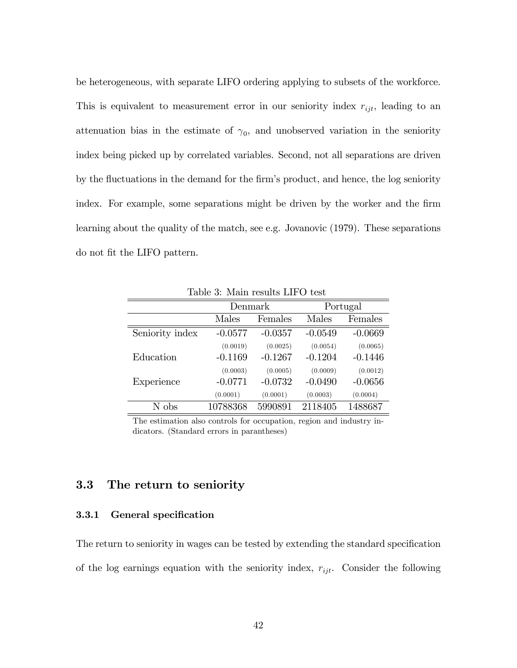be heterogeneous, with separate LIFO ordering applying to subsets of the workforce. This is equivalent to measurement error in our seniority index  $r_{ijt}$ , leading to an attenuation bias in the estimate of  $\gamma_0$ , and unobserved variation in the seniority index being picked up by correlated variables. Second, not all separations are driven by the fluctuations in the demand for the firm's product, and hence, the log seniority index. For example, some separations might be driven by the worker and the firm learning about the quality of the match, see e.g. Jovanovic (1979). These separations do not fit the LIFO pattern.

|                 | Denmark   |           |           | Portugal  |
|-----------------|-----------|-----------|-----------|-----------|
|                 | Males     | Females   | Males     | Females   |
| Seniority index | $-0.0577$ | $-0.0357$ | $-0.0549$ | $-0.0669$ |
|                 | (0.0019)  | (0.0025)  | (0.0054)  | (0.0065)  |
| Education       | $-0.1169$ | $-0.1267$ | $-0.1204$ | $-0.1446$ |
|                 | (0.0003)  | (0.0005)  | (0.0009)  | (0.0012)  |
| Experience      | $-0.0771$ | $-0.0732$ | $-0.0490$ | $-0.0656$ |
|                 | (0.0001)  | (0.0001)  | (0.0003)  | (0.0004)  |
| N obs           | 10788368  | 5990891   | 2118405   | 1488687   |

Table 3: Main results LIFO test

The estimation also controls for occupation, region and industry indicators. (Standard errors in parantheses)

# 3.3 The return to seniority

#### 3.3.1 General specification

The return to seniority in wages can be tested by extending the standard specification of the log earnings equation with the seniority index,  $r_{ijt}$ . Consider the following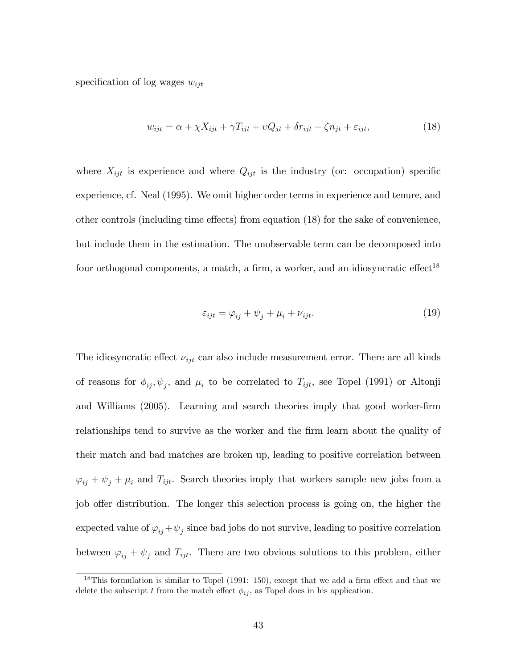specification of log wages  $w_{ijt}$ 

$$
w_{ijt} = \alpha + \chi X_{ijt} + \gamma T_{ijt} + \upsilon Q_{jt} + \delta r_{ijt} + \zeta n_{jt} + \varepsilon_{ijt},\tag{18}
$$

where  $X_{ijt}$  is experience and where  $Q_{ijt}$  is the industry (or: occupation) specific experience, cf. Neal (1995). We omit higher order terms in experience and tenure, and other controls (including time effects) from equation  $(18)$  for the sake of convenience, but include them in the estimation. The unobservable term can be decomposed into four orthogonal components, a match, a firm, a worker, and an idiosyncratic effect<sup>18</sup>

$$
\varepsilon_{ijt} = \varphi_{ij} + \psi_j + \mu_i + \nu_{ijt}.
$$
\n(19)

The idiosyncratic effect  $\nu_{ijt}$  can also include measurement error. There are all kinds of reasons for  $\phi_{ij}, \psi_j$ , and  $\mu_i$  to be correlated to  $T_{ijt}$ , see Topel (1991) or Altonji and Williams (2005). Learning and search theories imply that good worker-firm relationships tend to survive as the worker and the Örm learn about the quality of their match and bad matches are broken up, leading to positive correlation between  $\varphi_{ij} + \psi_j + \mu_i$  and  $T_{ijt}$ . Search theories imply that workers sample new jobs from a job offer distribution. The longer this selection process is going on, the higher the expected value of  $\varphi_{ij} + \psi_j$  since bad jobs do not survive, leading to positive correlation between  $\varphi_{ij} + \psi_j$  and  $T_{ijt}$ . There are two obvious solutions to this problem, either

 $18$ This formulation is similar to Topel (1991: 150), except that we add a firm effect and that we delete the subscript t from the match effect  $\phi_{ij}$ , as Topel does in his application.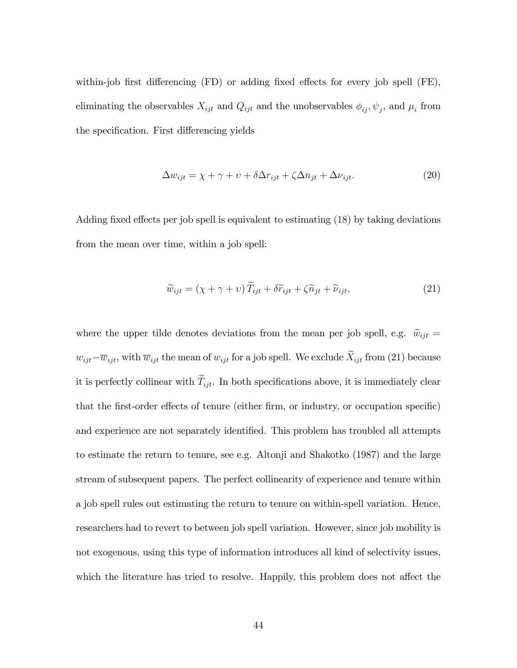within-job first differencing  $(FD)$  or adding fixed effects for every job spell  $(FE)$ , eliminating the observables  $X_{ijt}$  and  $Q_{ijt}$  and the unobservables  $\phi_{ij}$ ,  $\psi_j$ , and  $\mu_i$  from the specification. First differencing yields

$$
\Delta w_{ijt} = \chi + \gamma + \upsilon + \delta \Delta r_{ijt} + \zeta \Delta n_{jt} + \Delta \nu_{ijt}.
$$
\n(20)

Adding fixed effects per job spell is equivalent to estimating  $(18)$  by taking deviations from the mean over time, within a job spell:

$$
\widetilde{w}_{ijt} = (\chi + \gamma + v) \widetilde{T}_{ijt} + \delta \widetilde{r}_{ijt} + \zeta \widetilde{n}_{jt} + \widetilde{\nu}_{ijt}, \tag{21}
$$

where the upper tilde denotes deviations from the mean per job spell, e.g.  $\tilde{w}_{ijt} =$  $w_{ijt} - \overline{w}_{ijt}$ , with  $\overline{w}_{ijt}$  the mean of  $w_{ijt}$  for a job spell. We exclude  $\widetilde{X}_{ijt}$  from (21) because it is perfectly collinear with  $\widetilde{T}_{ijt}$ . In both specifications above, it is immediately clear that the first-order effects of tenure (either firm, or industry, or occupation specific) and experience are not separately identified. This problem has troubled all attempts to estimate the return to tenure, see e.g. Altonji and Shakotko (1987) and the large stream of subsequent papers. The perfect collinearity of experience and tenure within a job spell rules out estimating the return to tenure on within-spell variation. Hence, researchers had to revert to between job spell variation. However, since job mobility is not exogenous, using this type of information introduces all kind of selectivity issues, which the literature has tried to resolve. Happily, this problem does not affect the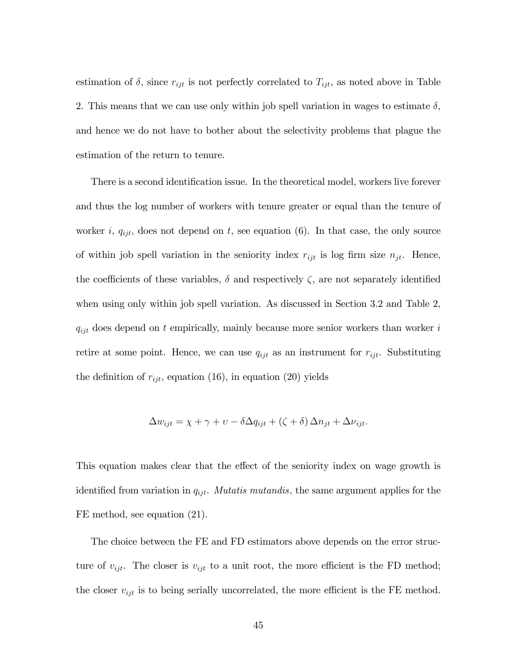estimation of  $\delta$ , since  $r_{ijt}$  is not perfectly correlated to  $T_{ijt}$ , as noted above in Table 2. This means that we can use only within job spell variation in wages to estimate  $\delta$ , and hence we do not have to bother about the selectivity problems that plague the estimation of the return to tenure.

There is a second identification issue. In the theoretical model, workers live forever and thus the log number of workers with tenure greater or equal than the tenure of worker i,  $q_{ijt}$ , does not depend on t, see equation (6). In that case, the only source of within job spell variation in the seniority index  $r_{ijt}$  is log firm size  $n_{jt}$ . Hence, the coefficients of these variables,  $\delta$  and respectively  $\zeta$ , are not separately identified when using only within job spell variation. As discussed in Section 3.2 and Table 2,  $q_{ijt}$  does depend on t empirically, mainly because more senior workers than worker i retire at some point. Hence, we can use  $q_{ijt}$  as an instrument for  $r_{ijt}$ . Substituting the definition of  $r_{ijt}$ , equation (16), in equation (20) yields

$$
\Delta w_{ijt} = \chi + \gamma + \upsilon - \delta \Delta q_{ijt} + (\zeta + \delta) \Delta n_{jt} + \Delta \nu_{ijt}.
$$

This equation makes clear that the effect of the seniority index on wage growth is identified from variation in  $q_{ijt}$ . *Mutatis mutandis*, the same argument applies for the FE method, see equation (21).

The choice between the FE and FD estimators above depends on the error structure of  $v_{ijt}$ . The closer is  $v_{ijt}$  to a unit root, the more efficient is the FD method; the closer  $v_{ijt}$  is to being serially uncorrelated, the more efficient is the FE method.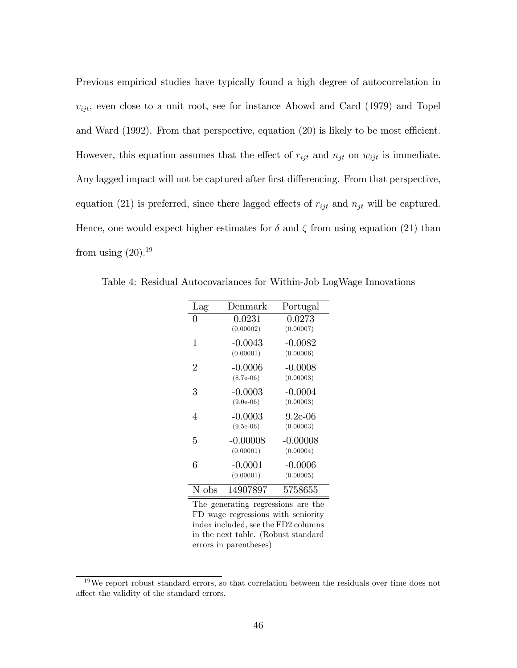Previous empirical studies have typically found a high degree of autocorrelation in  $v_{ijt}$ , even close to a unit root, see for instance Abowd and Card (1979) and Topel and Ward  $(1992)$ . From that perspective, equation  $(20)$  is likely to be most efficient. However, this equation assumes that the effect of  $r_{ijt}$  and  $n_{jt}$  on  $w_{ijt}$  is immediate. Any lagged impact will not be captured after first differencing. From that perspective, equation (21) is preferred, since there lagged effects of  $r_{ijt}$  and  $n_{jt}$  will be captured. Hence, one would expect higher estimates for  $\delta$  and  $\zeta$  from using equation (21) than from using  $(20).^{19}$ 

| Lag            | Denmark                  | Portugal               |
|----------------|--------------------------|------------------------|
| 0              | 0.0231                   | 0.0273                 |
|                | (0.00002)                | (0.00007)              |
| 1              | $-0.0043$                | $-0.0082$              |
|                | (0.00001)                | (0.00006)              |
| $\overline{2}$ | $-0.0006$<br>$(8.7e-06)$ | $-0.0008$<br>(0.00003) |
| 3              | $-0.0003$                | $-0.0004$              |
|                | $(9.0e-06)$              | (0.00003)              |
| 4              | $-0.0003$                | 9.2e-06                |
|                | $(9.5e-06)$              | (0.00003)              |
| 5              | $-0.00008$               | $-0.00008$             |
|                | (0.00001)                | (0.00004)              |
| 6              | $-0.0001$                | $-0.0006$              |
|                | (0.00001)                | (0.00005)              |
| N obs          | 14907897                 | 5758655                |

Table 4: Residual Autocovariances for Within-Job LogWage Innovations

The generating regressions are the FD wage regressions with seniority index included, see the FD2 columns in the next table. (Robust standard errors in parentheses)

<sup>&</sup>lt;sup>19</sup>We report robust standard errors, so that correlation between the residuals over time does not affect the validity of the standard errors.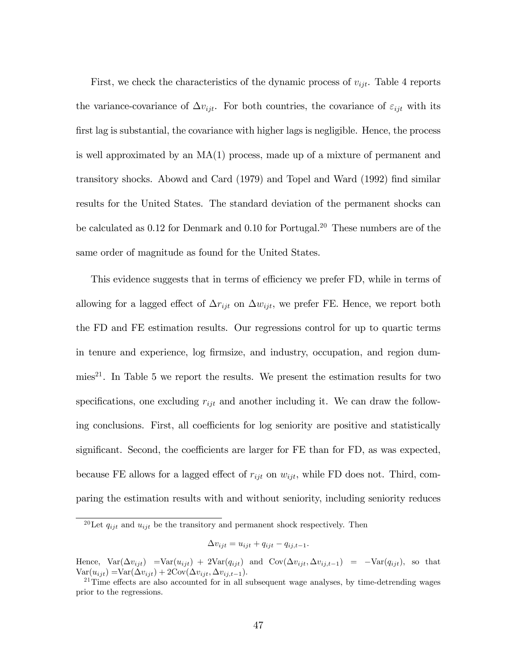First, we check the characteristics of the dynamic process of  $v_{ijt}$ . Table 4 reports the variance-covariance of  $\Delta v_{ijt}$ . For both countries, the covariance of  $\varepsilon_{ijt}$  with its first lag is substantial, the covariance with higher lags is negligible. Hence, the process is well approximated by an MA(1) process, made up of a mixture of permanent and transitory shocks. Abowd and Card (1979) and Topel and Ward (1992) Önd similar results for the United States. The standard deviation of the permanent shocks can be calculated as 0.12 for Denmark and 0.10 for Portugal.<sup>20</sup> These numbers are of the same order of magnitude as found for the United States.

This evidence suggests that in terms of efficiency we prefer FD, while in terms of allowing for a lagged effect of  $\Delta r_{ijt}$  on  $\Delta w_{ijt}$ , we prefer FE. Hence, we report both the FD and FE estimation results. Our regressions control for up to quartic terms in tenure and experience, log Örmsize, and industry, occupation, and region dummies<sup>21</sup>. In Table 5 we report the results. We present the estimation results for two specifications, one excluding  $r_{ijt}$  and another including it. We can draw the following conclusions. First, all coefficients for log seniority are positive and statistically significant. Second, the coefficients are larger for  $FE$  than for  $FD$ , as was expected, because FE allows for a lagged effect of  $r_{ijt}$  on  $w_{ijt}$ , while FD does not. Third, comparing the estimation results with and without seniority, including seniority reduces

$$
\Delta v_{ijt} = u_{ijt} + q_{ijt} - q_{ij,t-1}.
$$

<sup>&</sup>lt;sup>20</sup>Let  $q_{ijt}$  and  $u_{ijt}$  be the transitory and permanent shock respectively. Then

Hence,  $Var(\Delta v_{ijt}) = Var(u_{ijt}) + 2Var(q_{ijt})$  and  $Cov(\Delta v_{ijt}, \Delta v_{ij,t-1}) = -Var(q_{ijt})$ , so that  $Var(u_{ijt}) = Var(\Delta v_{ijt}) + 2Cov(\Delta v_{ijt}, \Delta v_{ij,t-1}).$ 

 $21$ Time effects are also accounted for in all subsequent wage analyses, by time-detrending wages prior to the regressions.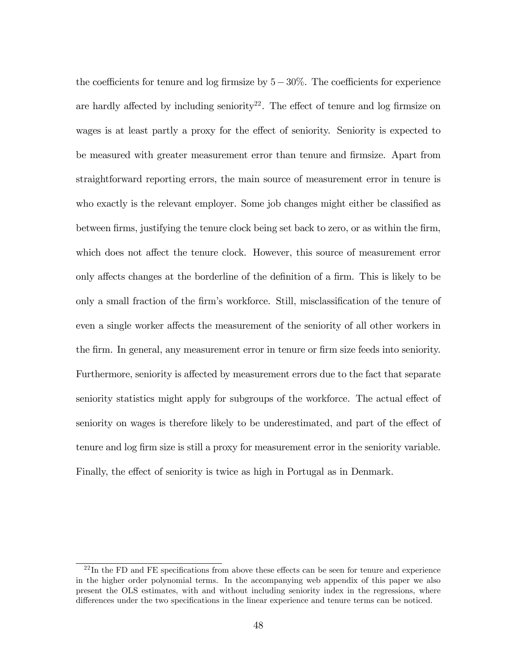the coefficients for tenure and log firmsize by  $5-30\%$ . The coefficients for experience are hardly affected by including seniority<sup>22</sup>. The effect of tenure and log firmsize on wages is at least partly a proxy for the effect of seniority. Seniority is expected to be measured with greater measurement error than tenure and Örmsize. Apart from straightforward reporting errors, the main source of measurement error in tenure is who exactly is the relevant employer. Some job changes might either be classified as between firms, justifying the tenure clock being set back to zero, or as within the firm, which does not affect the tenure clock. However, this source of measurement error only affects changes at the borderline of the definition of a firm. This is likely to be only a small fraction of the firm's workforce. Still, misclassification of the tenure of even a single worker affects the measurement of the seniority of all other workers in the firm. In general, any measurement error in tenure or firm size feeds into seniority. Furthermore, seniority is affected by measurement errors due to the fact that separate seniority statistics might apply for subgroups of the workforce. The actual effect of seniority on wages is therefore likely to be underestimated, and part of the effect of tenure and log firm size is still a proxy for measurement error in the seniority variable. Finally, the effect of seniority is twice as high in Portugal as in Denmark.

 $^{22}$ In the FD and FE specifications from above these effects can be seen for tenure and experience in the higher order polynomial terms. In the accompanying web appendix of this paper we also present the OLS estimates, with and without including seniority index in the regressions, where differences under the two specifications in the linear experience and tenure terms can be noticed.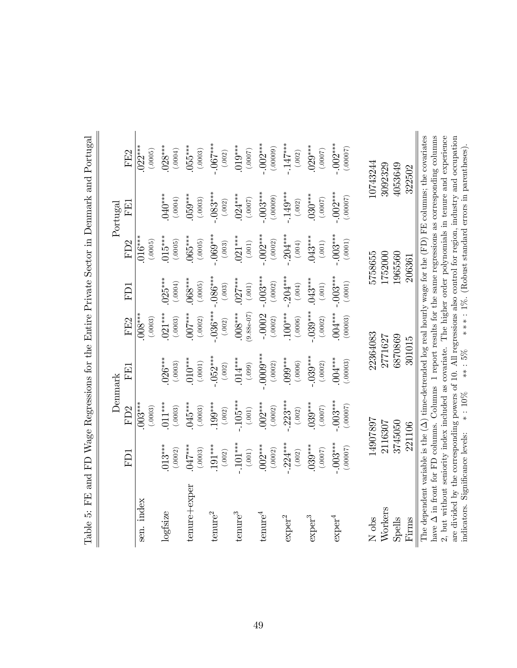|                                                                                                                                                                                                                                                                                                                                                                                                                                                                                                                      |            |                      | Denmark     |                     |                 |                     | Portugal                                            |                     |
|----------------------------------------------------------------------------------------------------------------------------------------------------------------------------------------------------------------------------------------------------------------------------------------------------------------------------------------------------------------------------------------------------------------------------------------------------------------------------------------------------------------------|------------|----------------------|-------------|---------------------|-----------------|---------------------|-----------------------------------------------------|---------------------|
|                                                                                                                                                                                                                                                                                                                                                                                                                                                                                                                      | FD1        | FD <sub>2</sub>      | FEL         | FE2                 | FD <sub>1</sub> | FD <sub>2</sub>     | FE1                                                 | FE2                 |
| sen. index                                                                                                                                                                                                                                                                                                                                                                                                                                                                                                           |            | $.003***$<br>(.0003) |             | $008***$<br>(.0003) |                 | $016***$<br>(.0005) |                                                     | $022***$<br>(.0005) |
| logfsize                                                                                                                                                                                                                                                                                                                                                                                                                                                                                                             | $013***$   | $011***$             | $026***$    | $021***$            | $025***$        | $015***$            | $.040***$                                           | $028***$            |
|                                                                                                                                                                                                                                                                                                                                                                                                                                                                                                                      | (.0002)    | (.0003)              | (.0003)     | (.0003)             | (0.0004)        | (.0005)             | (0004)                                              | (.0004)             |
| tenure+exper                                                                                                                                                                                                                                                                                                                                                                                                                                                                                                         | $047***$   | 045***               | $010^{***}$ | 5.87                | $0.068***$      | $065***$            | $059***$                                            | $055***$            |
|                                                                                                                                                                                                                                                                                                                                                                                                                                                                                                                      | (.0003)    | (.0003)              | (.0001)     | (.0002)             | (.0005)         | (.0005)             | (.0003)                                             | (.0003)             |
| ${\rm t}{\rm e}{\rm n}{\rm u}{\rm r}{\rm e}^2$                                                                                                                                                                                                                                                                                                                                                                                                                                                                       | $.191***$  | $199***$             | $.052***$   | $.036***$           | $-086***$       | $-069***$           | $-.083***$                                          | $-067***$           |
|                                                                                                                                                                                                                                                                                                                                                                                                                                                                                                                      | (.002)     | (.002)               | (.002)      | (.002)              | (.003)          | (.003)              | (.002)                                              | (.002)              |
| ${\rm t}{\rm e}{\rm n}{\rm u}{\rm r}{\rm e}^3$                                                                                                                                                                                                                                                                                                                                                                                                                                                                       | $-101***$  | $-105***$            | $.014***$   | $9.88e-07$          | $.027***$       | $.021***$           | $.024***$                                           | $.019***$           |
|                                                                                                                                                                                                                                                                                                                                                                                                                                                                                                                      | (.001)     | (.001)               | (.660.)     | $008***$            | $(.001)$        | $(.001)$            | (7000.)                                             | (0007)              |
| $t$ enure $^4$                                                                                                                                                                                                                                                                                                                                                                                                                                                                                                       | $.002***$  | $002***$             | 0000        | $-.0002$            | $-0.03***$      | $-002***$           | $-003***$                                           | $-002***$           |
|                                                                                                                                                                                                                                                                                                                                                                                                                                                                                                                      | (.0002)    | (.0002)              | (.0002)     | (.0002)             | (.0002)         | (.0002)             | (00000)                                             | (.00009)            |
| $\mbox{exper}^2$                                                                                                                                                                                                                                                                                                                                                                                                                                                                                                     | $-224***$  | $.223***$            | $0.003***$  | $100***$            | $-204***$       | $.204***$           | $.149***$                                           | $-147***$           |
|                                                                                                                                                                                                                                                                                                                                                                                                                                                                                                                      | (.002)     | (.002)               | (.0006)     | (.0006)             | (100.)          | (.004)              | (.002)                                              | (.002)              |
| $\mbox{exper}^3$                                                                                                                                                                                                                                                                                                                                                                                                                                                                                                     | $0.39***$  | $039***$             | $.039***$   | $.039***$           | $.043***$       | $043***$            | $0.30***$                                           | $.029***$           |
|                                                                                                                                                                                                                                                                                                                                                                                                                                                                                                                      | (7000.)    | (7000.)              | (.0002)     | (.0002)             | (.001)          | (.001)              | (7000.)                                             | (7000.)             |
| $\mathrm{exper}^4$                                                                                                                                                                                                                                                                                                                                                                                                                                                                                                   | $-.003***$ | $.003***$            | $004***$    | $004***$            | $-0.03***$      | $-003***$           | $-002$                                              | $-.002***$          |
|                                                                                                                                                                                                                                                                                                                                                                                                                                                                                                                      | (0.00007)  | (.00007)             | (.00003)    | (00003)             | (.0001)         | $(.0001)$           | (0.0007)                                            | (0.00007)           |
| N obs                                                                                                                                                                                                                                                                                                                                                                                                                                                                                                                |            | 14907897             | 22364083    |                     |                 | 5758655             |                                                     | 10743244            |
| Workers                                                                                                                                                                                                                                                                                                                                                                                                                                                                                                              | 2116307    |                      | 2771627     |                     |                 | [752000             |                                                     | 3092329             |
| Spells                                                                                                                                                                                                                                                                                                                                                                                                                                                                                                               |            | 3745050              | 6870869     |                     |                 | 1965560             |                                                     | 4053649             |
| Firms                                                                                                                                                                                                                                                                                                                                                                                                                                                                                                                |            | 221106               | 301015      |                     |                 | 206361              |                                                     | 322502              |
| The dependent variable is the $(\Delta)$ time-detrended log real hourly wage for the $(FD)$ FE columns; the covariates<br>have $\Delta$ in front for FD columns. Columns 1 report results for the same regressions as corresponding columns<br>$2$ , but without semiority index included as covariate. The higher order polynomials in tenure and experience<br>are divided by the corresponding powers of 10. All regressions also control for region, industry and occupation<br>indicators. Significance levels: |            | $*$ : 10%            | $** : 5\%$  |                     |                 |                     | $**$ : 1%. (Robust standard errors in parentheses). |                     |

Table 5: FE and FD Wage Regressions for the Entire Private Sector in Denmark and Portugal Table 5: FE and FD Wage Regressions for the Entire Private Sector in Denmark and Portugal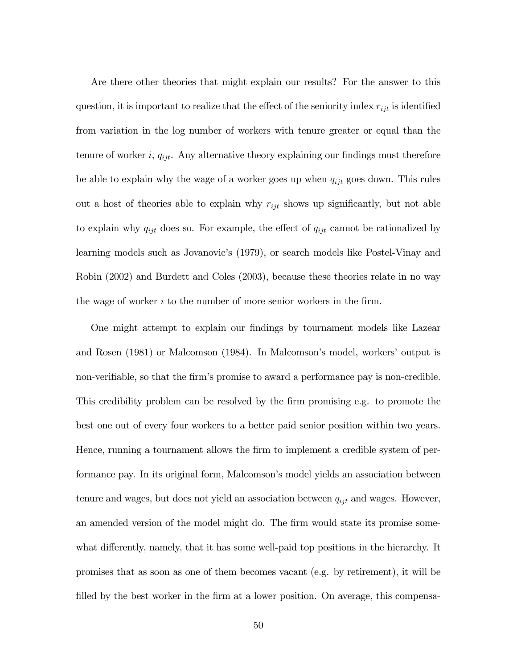Are there other theories that might explain our results? For the answer to this question, it is important to realize that the effect of the seniority index  $r_{ijt}$  is identified from variation in the log number of workers with tenure greater or equal than the tenure of worker i,  $q_{ijt}$ . Any alternative theory explaining our findings must therefore be able to explain why the wage of a worker goes up when  $q_{ijt}$  goes down. This rules out a host of theories able to explain why  $r_{ijt}$  shows up significantly, but not able to explain why  $q_{ijt}$  does so. For example, the effect of  $q_{ijt}$  cannot be rationalized by learning models such as Jovanovic's (1979), or search models like Postel-Vinay and Robin (2002) and Burdett and Coles (2003), because these theories relate in no way the wage of worker  $i$  to the number of more senior workers in the firm.

One might attempt to explain our findings by tournament models like Lazear and Rosen (1981) or Malcomson (1984). In Malcomson's model, workers' output is non-verifiable, so that the firm's promise to award a performance pay is non-credible. This credibility problem can be resolved by the firm promising e.g. to promote the best one out of every four workers to a better paid senior position within two years. Hence, running a tournament allows the firm to implement a credible system of performance pay. In its original form, Malcomson's model yields an association between tenure and wages, but does not yield an association between  $q_{ijt}$  and wages. However, an amended version of the model might do. The firm would state its promise somewhat differently, namely, that it has some well-paid top positions in the hierarchy. It promises that as soon as one of them becomes vacant (e.g. by retirement), it will be filled by the best worker in the firm at a lower position. On average, this compensa-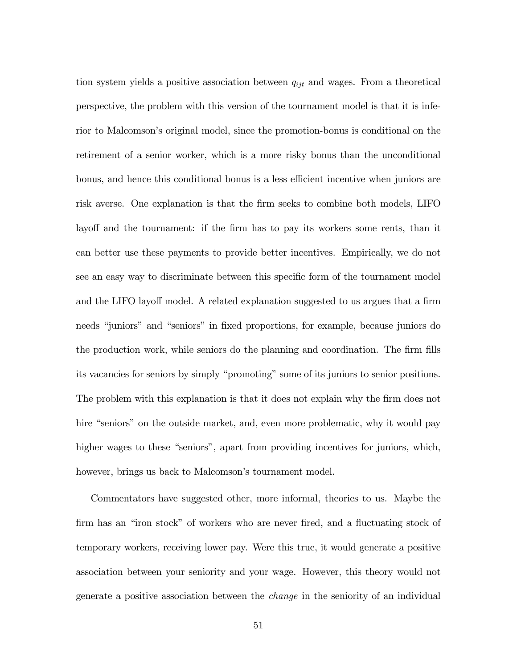tion system yields a positive association between  $q_{ijt}$  and wages. From a theoretical perspective, the problem with this version of the tournament model is that it is inferior to Malcomsonís original model, since the promotion-bonus is conditional on the retirement of a senior worker, which is a more risky bonus than the unconditional bonus, and hence this conditional bonus is a less efficient incentive when juniors are risk averse. One explanation is that the firm seeks to combine both models, LIFO layoff and the tournament: if the firm has to pay its workers some rents, than it can better use these payments to provide better incentives. Empirically, we do not see an easy way to discriminate between this specific form of the tournament model and the LIFO layoff model. A related explanation suggested to us argues that a firm needs "juniors" and "seniors" in fixed proportions, for example, because juniors do the production work, while seniors do the planning and coordination. The firm fills its vacancies for seniors by simply "promoting" some of its juniors to senior positions. The problem with this explanation is that it does not explain why the firm does not hire "seniors" on the outside market, and, even more problematic, why it would pay higher wages to these "seniors", apart from providing incentives for juniors, which, however, brings us back to Malcomson's tournament model.

Commentators have suggested other, more informal, theories to us. Maybe the firm has an "iron stock" of workers who are never fired, and a fluctuating stock of temporary workers, receiving lower pay. Were this true, it would generate a positive association between your seniority and your wage. However, this theory would not generate a positive association between the change in the seniority of an individual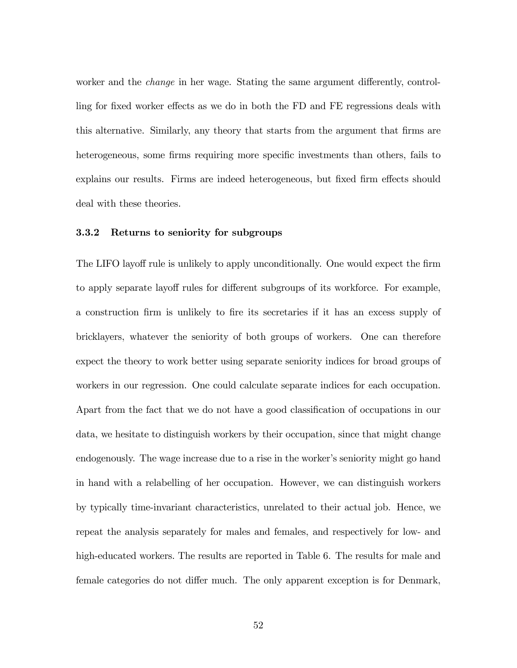worker and the *change* in her wage. Stating the same argument differently, controlling for fixed worker effects as we do in both the FD and FE regressions deals with this alternative. Similarly, any theory that starts from the argument that Örms are heterogeneous, some firms requiring more specific investments than others, fails to explains our results. Firms are indeed heterogeneous, but fixed firm effects should deal with these theories.

#### 3.3.2 Returns to seniority for subgroups

The LIFO layoff rule is unlikely to apply unconditionally. One would expect the firm to apply separate layoff rules for different subgroups of its workforce. For example, a construction Örm is unlikely to Öre its secretaries if it has an excess supply of bricklayers, whatever the seniority of both groups of workers. One can therefore expect the theory to work better using separate seniority indices for broad groups of workers in our regression. One could calculate separate indices for each occupation. Apart from the fact that we do not have a good classification of occupations in our data, we hesitate to distinguish workers by their occupation, since that might change endogenously. The wage increase due to a rise in the worker's seniority might go hand in hand with a relabelling of her occupation. However, we can distinguish workers by typically time-invariant characteristics, unrelated to their actual job. Hence, we repeat the analysis separately for males and females, and respectively for low- and high-educated workers. The results are reported in Table 6. The results for male and female categories do not differ much. The only apparent exception is for Denmark,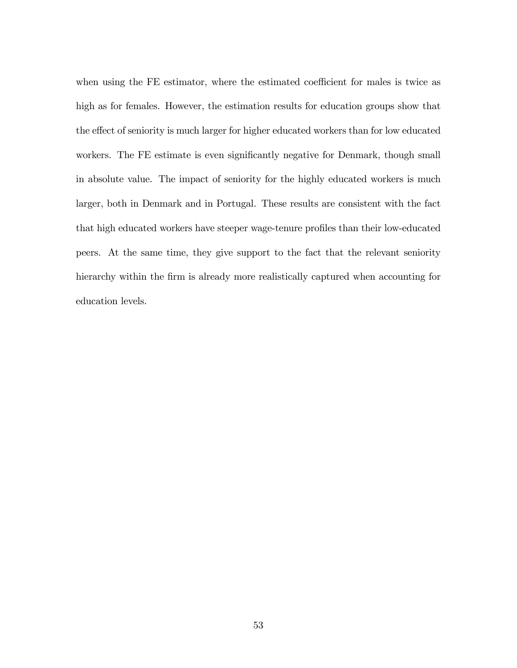when using the FE estimator, where the estimated coefficient for males is twice as high as for females. However, the estimation results for education groups show that the effect of seniority is much larger for higher educated workers than for low educated workers. The FE estimate is even significantly negative for Denmark, though small in absolute value. The impact of seniority for the highly educated workers is much larger, both in Denmark and in Portugal. These results are consistent with the fact that high educated workers have steeper wage-tenure profiles than their low-educated peers. At the same time, they give support to the fact that the relevant seniority hierarchy within the firm is already more realistically captured when accounting for education levels.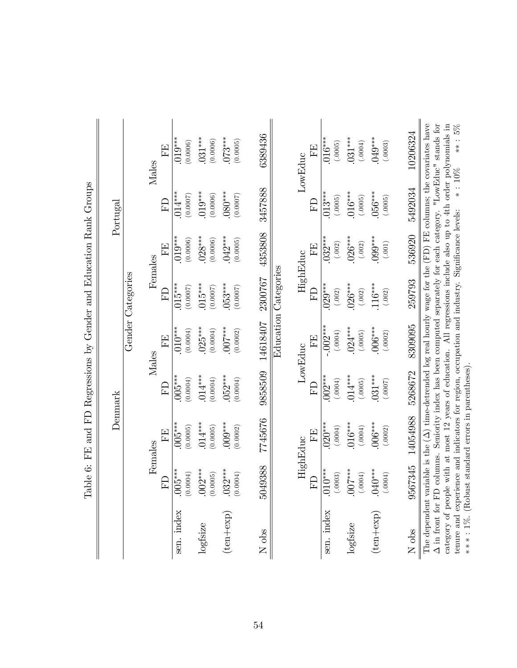|                                                           |          |                   | Males   | FF,      | $.019***$<br>(0.0006) | $0.31***$<br>(0.0006) | $.073***$<br>(0.0005) | 6389436  |                      | LowEduc  | EE       | $.016***$<br>(.0005)  | $0.31***$<br>(.0004) | $.049***$<br>(.0003)  | 10206324 | The dependent variable is the $(\Delta)$ time-detrended log real hourly wage for the (FD) FE columns; the covariates have<br>$\Delta$ in front for FD columns. Seniority index has been computed separately for each category. "LowEduc" stands for<br>**: 5%<br>category of people with at most 12 years of education. All regressions include also up to 4th order polynomials in |
|-----------------------------------------------------------|----------|-------------------|---------|----------|-----------------------|-----------------------|-----------------------|----------|----------------------|----------|----------|-----------------------|----------------------|-----------------------|----------|-------------------------------------------------------------------------------------------------------------------------------------------------------------------------------------------------------------------------------------------------------------------------------------------------------------------------------------------------------------------------------------|
|                                                           | Portugal |                   |         | FD       | $.014***$<br>(0.0007) | $.019***$<br>(0.0006) | $.080***$<br>(0.0007) | 3457888  |                      |          | E        | $.013***$<br>(.0005)  | $016***$<br>(.0005)  | 056****<br>(.0005)    | 5492034  | $*$ : 10%                                                                                                                                                                                                                                                                                                                                                                           |
| FE and FD Regressions by Gender and Education Rank Groups |          |                   | Females | FE       | $.019***$<br>(0.0006) | $.028***$<br>(0.0006) | $.042***$<br>(0.0005) | 4353808  |                      | HighEduc | ËE       | $.032***$<br>(.002)   | $.026***$<br>(.002)  | $.099***$<br>$(.001)$ | 536920   |                                                                                                                                                                                                                                                                                                                                                                                     |
|                                                           |          | Gender Categories |         | $\Gamma$ | $.015***$<br>(0.0007) | $.015***$<br>(0.0007) | $053***$<br>(0.0007)  | 2300767  | Education Categories |          | ED       | $.029***$<br>(.002)   | $.026***$<br>(.002)  | $.116***$<br>(.002)   | 259793   |                                                                                                                                                                                                                                                                                                                                                                                     |
|                                                           |          |                   | Males   | FF.      | $.010***$<br>(0.0004) | $.025***$<br>(0.0004) | $.007***$<br>(0.0002) | 14618407 |                      | LowEduc  | EE       | $-002$ ***<br>(.0004) | $.024***$<br>(.0005) | $0.006***$<br>(.0002) | 8309095  |                                                                                                                                                                                                                                                                                                                                                                                     |
|                                                           |          |                   |         | FD       | $.005***$<br>(0.0004) | $.014***$<br>(0.0004) | $.052***$<br>(0.0004) | 9858509  |                      |          | $\Gamma$ | $.002***$<br>(.0004)  | $.014***$<br>(.0005) | $.031***$<br>(7000.)  | 5268672  |                                                                                                                                                                                                                                                                                                                                                                                     |
|                                                           | Denmark  |                   | Females | 田        | $.005***$<br>(0.0005) | $.014***$<br>(0.0005) | $009***$<br>(0.0002)  | 7745676  |                      | HighEduc | EE       | $.020***$<br>(.0004)  | $.016***$<br>(.0004) | $006***$<br>(.0002)   | 14054988 |                                                                                                                                                                                                                                                                                                                                                                                     |
| Table 6:                                                  |          |                   |         | FD       | $.005***$<br>(0.0004) | $.002***$<br>(0.0005) | $.032***$<br>(0.0004) | 5049388  |                      |          | $\Gamma$ | $.010***$<br>(.0003)  | $.007***$<br>(.0004) | $.040***$<br>(.0004)  | 3567345  |                                                                                                                                                                                                                                                                                                                                                                                     |
|                                                           |          |                   |         |          | sen. index            | logfsize              | $(\text{ten+exp})$    | N obs    |                      |          |          | sen. index            | logfsize             | $(\text{ten+exp})$    | N obs    | tenure and experience and indicators for region, occupation and industry. Significance levels:<br>***: 1%. (Robust standard errors in parentheses).                                                                                                                                                                                                                                 |

 $\overline{a}$  $\tilde{\mathcal{C}}$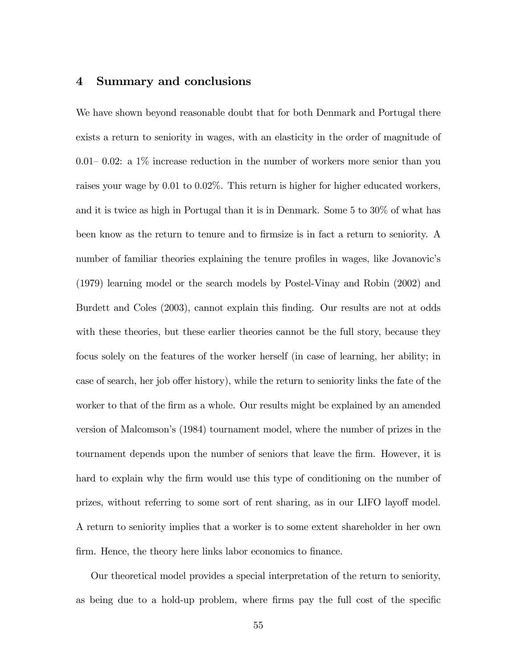## 4 Summary and conclusions

We have shown beyond reasonable doubt that for both Denmark and Portugal there exists a return to seniority in wages, with an elasticity in the order of magnitude of 0.01–0.02: a  $1\%$  increase reduction in the number of workers more senior than you raises your wage by 0.01 to 0.02%. This return is higher for higher educated workers, and it is twice as high in Portugal than it is in Denmark. Some 5 to 30% of what has been know as the return to tenure and to firmsize is in fact a return to seniority. A number of familiar theories explaining the tenure profiles in wages, like Jovanovic's (1979) learning model or the search models by Postel-Vinay and Robin (2002) and Burdett and Coles (2003), cannot explain this Önding. Our results are not at odds with these theories, but these earlier theories cannot be the full story, because they focus solely on the features of the worker herself (in case of learning, her ability; in case of search, her job offer history), while the return to seniority links the fate of the worker to that of the firm as a whole. Our results might be explained by an amended version of Malcomsonís (1984) tournament model, where the number of prizes in the tournament depends upon the number of seniors that leave the firm. However, it is hard to explain why the firm would use this type of conditioning on the number of prizes, without referring to some sort of rent sharing, as in our LIFO layoff model. A return to seniority implies that a worker is to some extent shareholder in her own firm. Hence, the theory here links labor economics to finance.

Our theoretical model provides a special interpretation of the return to seniority, as being due to a hold-up problem, where firms pay the full cost of the specific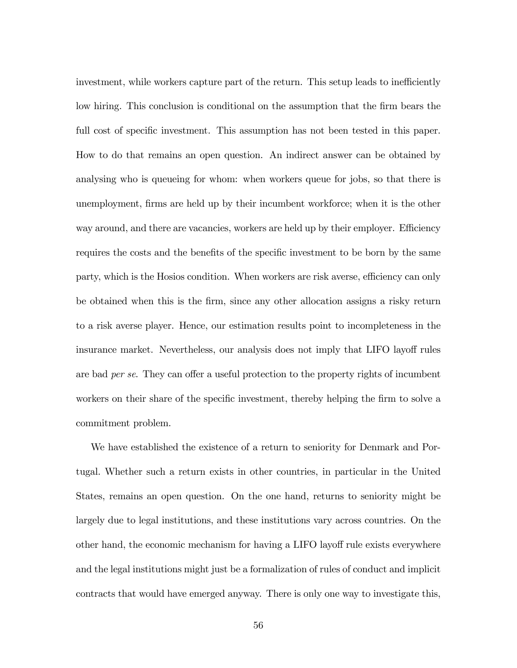investment, while workers capture part of the return. This setup leads to inefficiently low hiring. This conclusion is conditional on the assumption that the firm bears the full cost of specific investment. This assumption has not been tested in this paper. How to do that remains an open question. An indirect answer can be obtained by analysing who is queueing for whom: when workers queue for jobs, so that there is unemployment, firms are held up by their incumbent workforce; when it is the other way around, and there are vacancies, workers are held up by their employer. Efficiency requires the costs and the benefits of the specific investment to be born by the same party, which is the Hosios condition. When workers are risk averse, efficiency can only be obtained when this is the Örm, since any other allocation assigns a risky return to a risk averse player. Hence, our estimation results point to incompleteness in the insurance market. Nevertheless, our analysis does not imply that LIFO layoff rules are bad per se. They can offer a useful protection to the property rights of incumbent workers on their share of the specific investment, thereby helping the firm to solve a commitment problem.

We have established the existence of a return to seniority for Denmark and Portugal. Whether such a return exists in other countries, in particular in the United States, remains an open question. On the one hand, returns to seniority might be largely due to legal institutions, and these institutions vary across countries. On the other hand, the economic mechanism for having a LIFO layoff rule exists everywhere and the legal institutions might just be a formalization of rules of conduct and implicit contracts that would have emerged anyway. There is only one way to investigate this,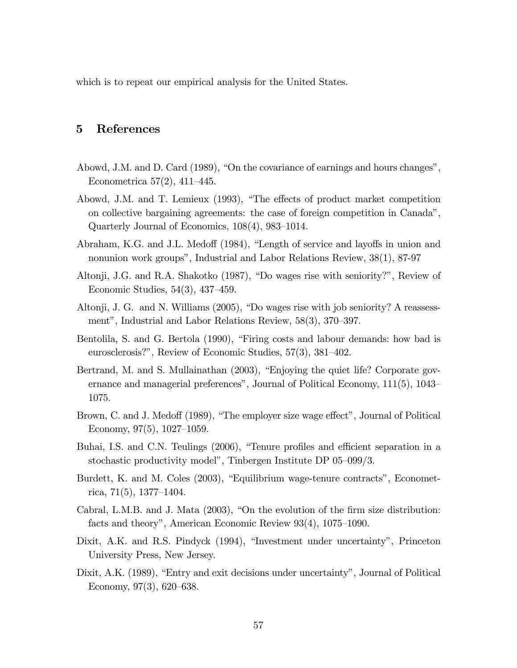which is to repeat our empirical analysis for the United States.

# 5 References

- Abowd, J.M. and D. Card  $(1989)$ , "On the covariance of earnings and hours changes", Econometrica  $57(2)$ ,  $411-445$ .
- Abowd, J.M. and T. Lemieux (1993), "The effects of product market competition on collective bargaining agreements: the case of foreign competition in Canadaî, Quarterly Journal of Economics,  $108(4)$ ,  $983-1014$ .
- Abraham, K.G. and J.L. Medoff (1984), "Length of service and layoffs in union and nonunion work groups", Industrial and Labor Relations Review,  $38(1)$ , 87-97
- Altonji, J.G. and R.A. Shakotko (1987), "Do wages rise with seniority?", Review of Economic Studies,  $54(3)$ ,  $437-459$ .
- Altonji, J. G. and N. Williams  $(2005)$ , "Do wages rise with job seniority? A reassessment", Industrial and Labor Relations Review,  $58(3)$ ,  $370-397$ .
- Bentolila, S. and G. Bertola (1990), "Firing costs and labour demands: how bad is eurosclerosis?", Review of Economic Studies,  $57(3)$ ,  $381-402$ .
- Bertrand, M. and S. Mullainathan  $(2003)$ , "Enjoying the quiet life? Corporate governance and managerial preferences", Journal of Political Economy,  $111(5)$ ,  $1043-$ 1075.
- Brown, C. and J. Medoff (1989), "The employer size wage effect", Journal of Political Economy,  $97(5)$ ,  $1027-1059$ .
- Buhai, I.S. and C.N. Teulings (2006), "Tenure profiles and efficient separation in a stochastic productivity model", Tinbergen Institute DP  $05-099/3$ .
- Burdett, K. and M. Coles (2003), "Equilibrium wage-tenure contracts", Econometrica,  $71(5)$ , 1377–1404.
- Cabral, L.M.B. and J. Mata  $(2003)$ , "On the evolution of the firm size distribution: facts and theory", American Economic Review  $93(4)$ ,  $1075-1090$ .
- Dixit, A.K. and R.S. Pindyck (1994), "Investment under uncertainty", Princeton University Press, New Jersey.
- Dixit, A.K. (1989), "Entry and exit decisions under uncertainty", Journal of Political Economy,  $97(3)$ ,  $620-638$ .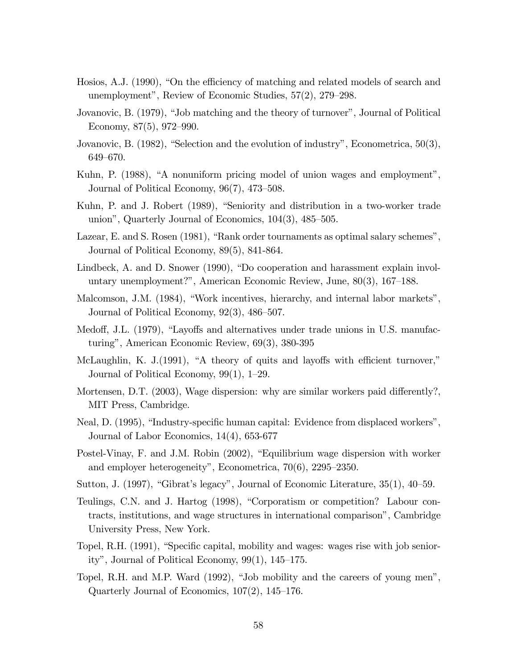- Hosios, A.J. (1990), "On the efficiency of matching and related models of search and unemployment", Review of Economic Studies,  $57(2)$ ,  $279-298$ .
- Jovanovic, B. (1979), "Job matching and the theory of turnover", Journal of Political Economy,  $87(5)$ ,  $972-990$ .
- Jovanovic, B.  $(1982)$ , "Selection and the evolution of industry", Econometrica, 50(3), 649–670.
- Kuhn, P. (1988), "A nonuniform pricing model of union wages and employment", Journal of Political Economy,  $96(7)$ ,  $473-508$ .
- Kuhn, P. and J. Robert (1989), "Seniority and distribution in a two-worker trade union", Quarterly Journal of Economics,  $104(3)$ ,  $485-505$ .
- Lazear, E. and S. Rosen  $(1981)$ , "Rank order tournaments as optimal salary schemes", Journal of Political Economy, 89(5), 841-864.
- Lindbeck, A. and D. Snower (1990), "Do cooperation and harassment explain involuntary unemployment?", American Economic Review, June,  $80(3)$ ,  $167-188$ .
- Malcomson, J.M. (1984), "Work incentives, hierarchy, and internal labor markets", Journal of Political Economy,  $92(3)$ ,  $486-507$ .
- Medoff, J.L. (1979), "Layoffs and alternatives under trade unions in U.S. manufacturingî, American Economic Review, 69(3), 380-395
- McLaughlin, K. J. $(1991)$ , "A theory of quits and layoffs with efficient turnover," Journal of Political Economy,  $99(1)$ , 1–29.
- Mortensen, D.T. (2003), Wage dispersion: why are similar workers paid differently?, MIT Press, Cambridge.
- Neal, D. (1995), "Industry-specific human capital: Evidence from displaced workers", Journal of Labor Economics, 14(4), 653-677
- Postel-Vinay, F. and J.M. Robin (2002), "Equilibrium wage dispersion with worker and employer heterogeneity", Econometrica,  $70(6)$ ,  $2295-2350$ .
- Sutton, J. (1997), "Gibrat's legacy", Journal of Economic Literature,  $35(1)$ ,  $40-59$ .
- Teulings, C.N. and J. Hartog (1998), "Corporatism or competition? Labour contracts, institutions, and wage structures in international comparisonî, Cambridge University Press, New York.
- Topel, R.H. (1991), "Specific capital, mobility and wages: wages rise with job seniority", Journal of Political Economy,  $99(1)$ ,  $145-175$ .
- Topel, R.H. and M.P. Ward  $(1992)$ , "Job mobility and the careers of young men", Quarterly Journal of Economics,  $107(2)$ ,  $145-176$ .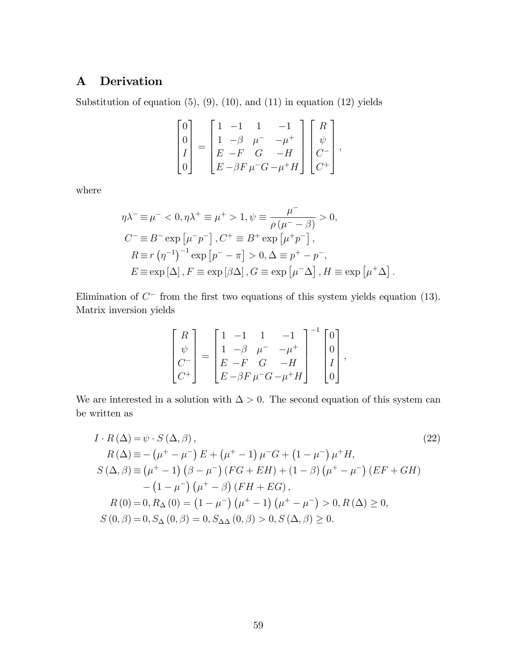# A Derivation

Substitution of equation  $(5)$ ,  $(9)$ ,  $(10)$ , and  $(11)$  in equation  $(12)$  yields

$$
\begin{bmatrix} 0 \\ 0 \\ I \\ 0 \end{bmatrix} = \begin{bmatrix} 1 & -1 & 1 & -1 \\ 1 & -\beta & \mu^- & -\mu^+ \\ E & -F & G & -H \\ E & -\beta F \mu^- G & -\mu^+ H \end{bmatrix} \begin{bmatrix} R \\ \psi \\ C^- \\ C^+ \end{bmatrix},
$$

where

$$
\eta \lambda^{-} \equiv \mu^{-} < 0, \eta \lambda^{+} \equiv \mu^{+} > 1, \psi \equiv \frac{\mu^{-}}{\rho (\mu^{-} - \beta)} > 0,
$$
  
\n
$$
C^{-} \equiv B^{-} \exp \left[\mu^{-} p^{-}\right], C^{+} \equiv B^{+} \exp \left[\mu^{+} p^{-}\right],
$$
  
\n
$$
R \equiv r \left(\eta^{-1}\right)^{-1} \exp \left[p^{-} - \pi\right] > 0, \Delta \equiv p^{+} - p^{-},
$$
  
\n
$$
E \equiv \exp \left[\Delta\right], F \equiv \exp \left[\beta \Delta\right], G \equiv \exp \left[\mu^{-} \Delta\right], H \equiv \exp \left[\mu^{+} \Delta\right].
$$

Elimination of  $C^-$  from the first two equations of this system yields equation (13). Matrix inversion yields

$$
\begin{bmatrix} R \\ \psi \\ C^- \\ C^+ \end{bmatrix} = \begin{bmatrix} 1 & -1 & 1 & -1 \\ 1 & -\beta & \mu^- & -\mu^+ \\ E & -F & G & -H \\ E & -\beta F \mu^- G & -\mu^+ H \end{bmatrix}^{-1} \begin{bmatrix} 0 \\ 0 \\ I \\ 0 \end{bmatrix},
$$

We are interested in a solution with  $\Delta > 0$ . The second equation of this system can be written as

$$
I \cdot R(\Delta) = \psi \cdot S(\Delta, \beta),
$$
  
\n
$$
R(\Delta) = -(\mu^{+} - \mu^{-}) E + (\mu^{+} - 1) \mu^{-} G + (1 - \mu^{-}) \mu^{+} H,
$$
  
\n
$$
S(\Delta, \beta) = (\mu^{+} - 1) (\beta - \mu^{-}) (FG + EH) + (1 - \beta) (\mu^{+} - \mu^{-}) (EF + GH)
$$
  
\n
$$
- (1 - \mu^{-}) (\mu^{+} - \beta) (FH + EG),
$$
  
\n
$$
R(0) = 0, R_{\Delta}(0) = (1 - \mu^{-}) (\mu^{+} - 1) (\mu^{+} - \mu^{-}) > 0, R(\Delta) \ge 0,
$$
  
\n
$$
S(0, \beta) = 0, S_{\Delta}(0, \beta) = 0, S_{\Delta\Delta}(0, \beta) > 0, S(\Delta, \beta) \ge 0.
$$
  
\n(22)